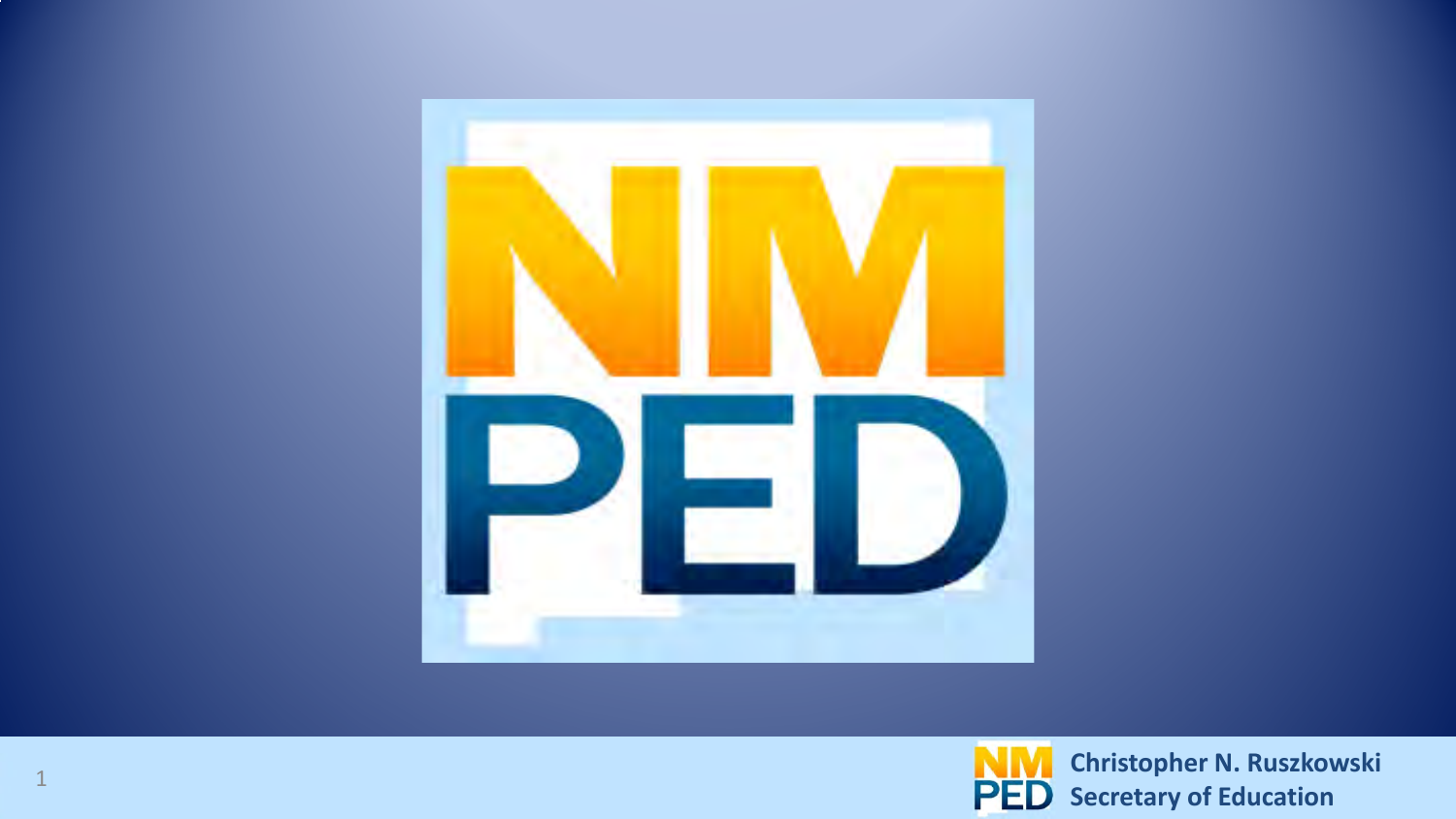

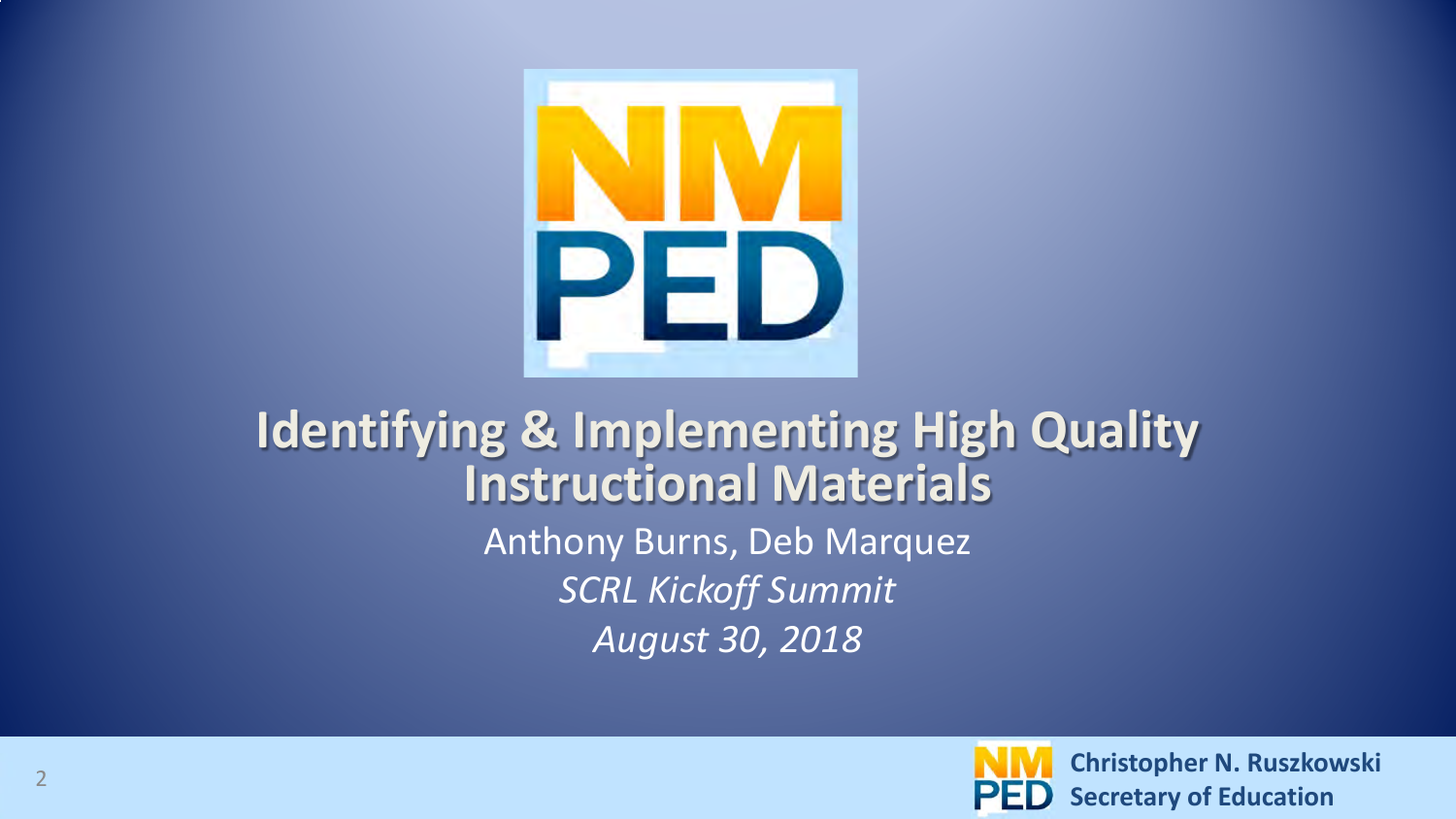

#### **Identifying & Implementing High Quality Instructional Materials**  Anthony Burns, Deb Marquez *SCRL Kickoff Summit August 30, 2018*

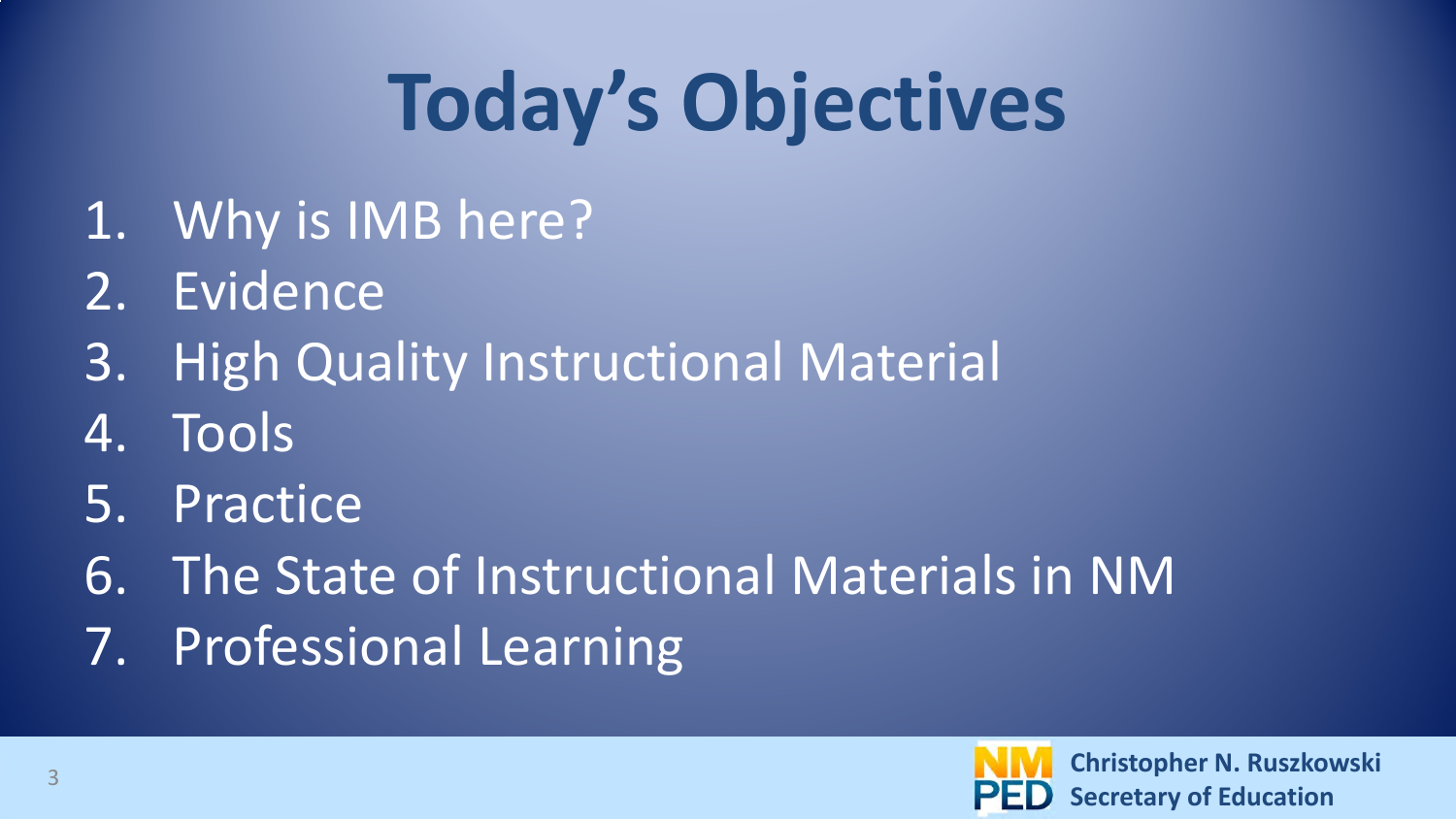## **Today's Objectives**

- 1. Why is IMB here?
- 2. Evidence
- 3. High Quality Instructional Material
- 4. Tools
- 5. Practice
- 6. The State of Instructional Materials in NM
- 7. Professional Learning

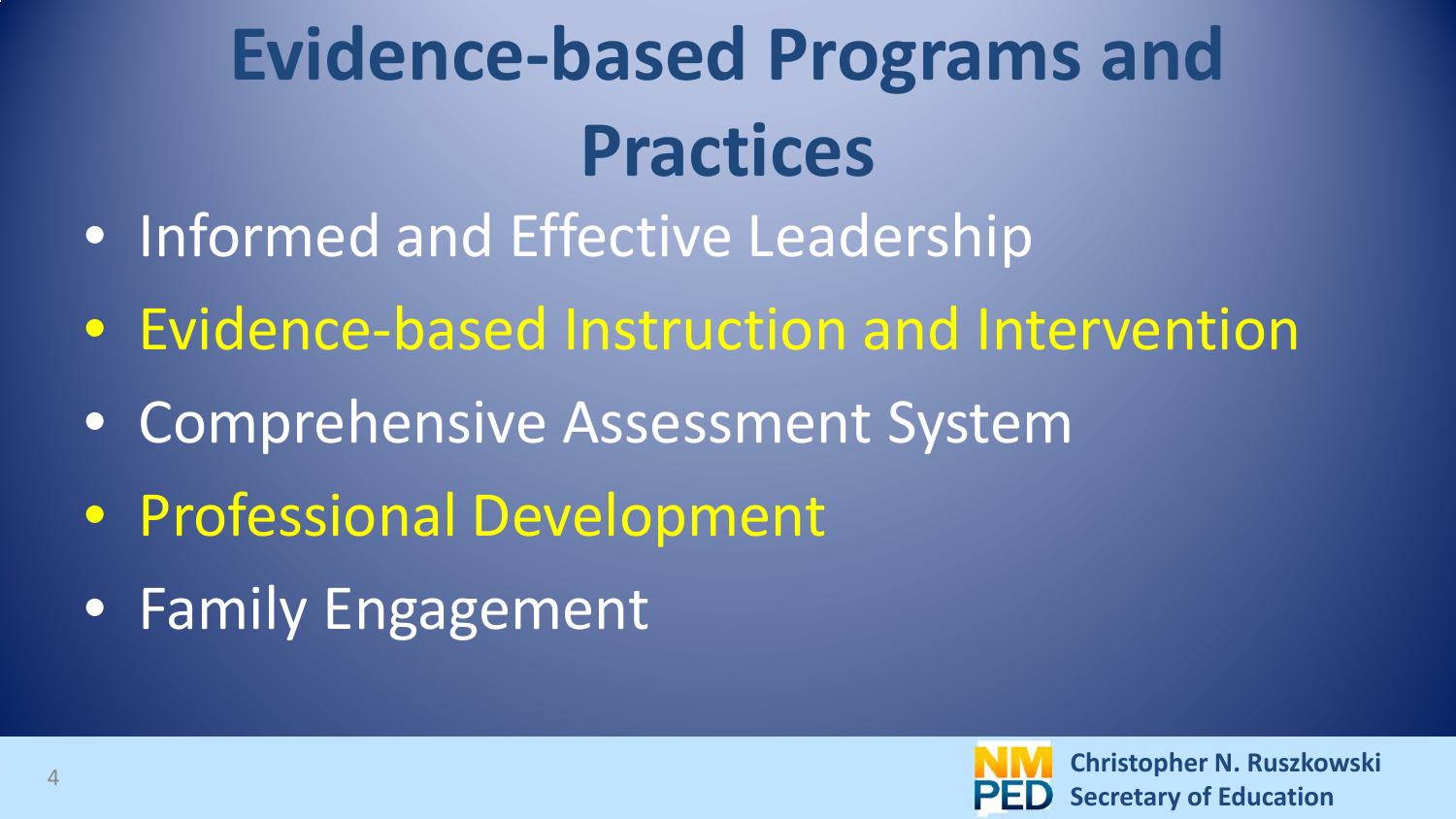### **Evidence-based Programs and Practices**

- Informed and Effective Leadership
- Evidence-based Instruction and Intervention
- Comprehensive Assessment System
- Professional Development
- Family Engagement

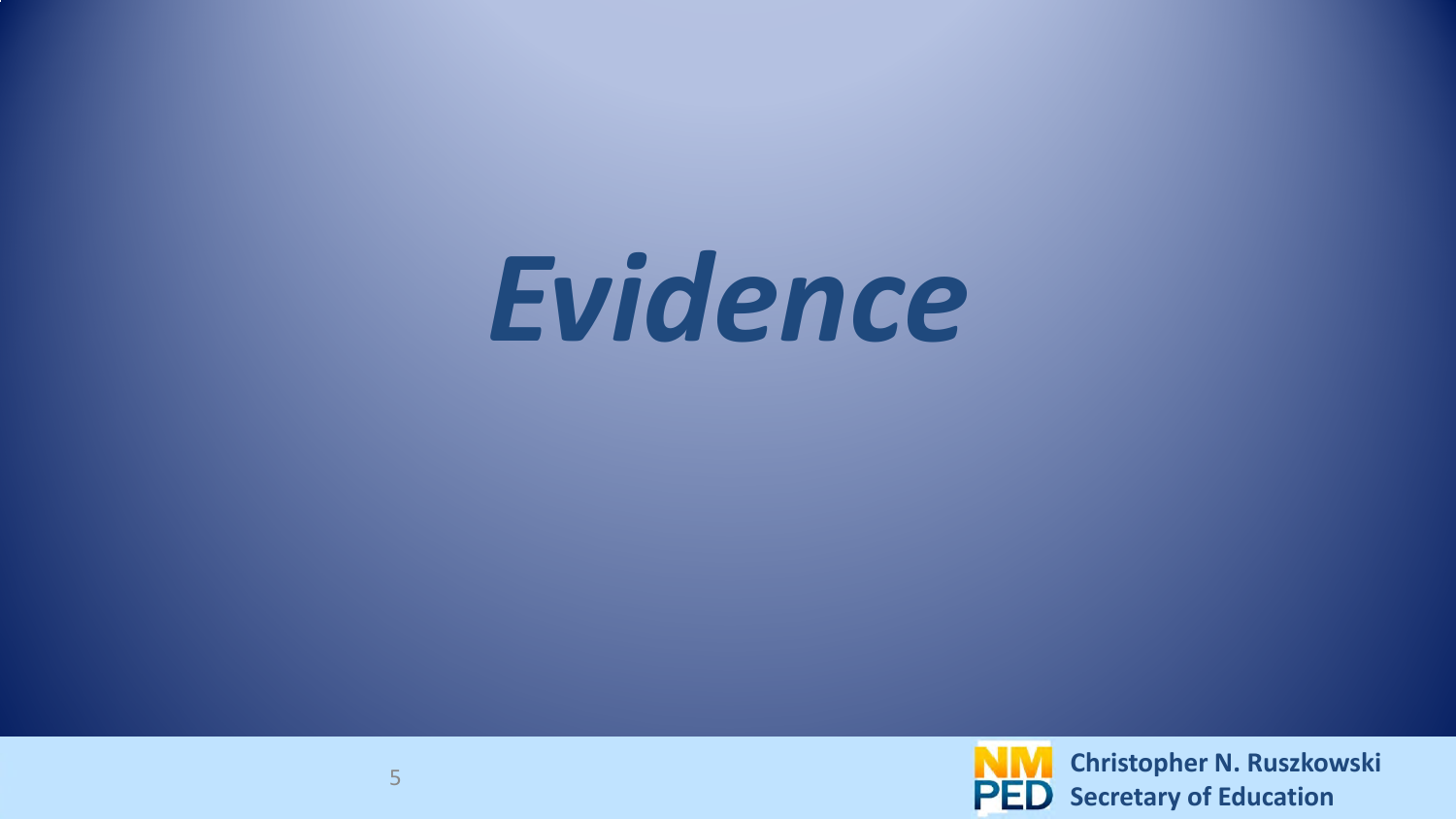# *Evidence*

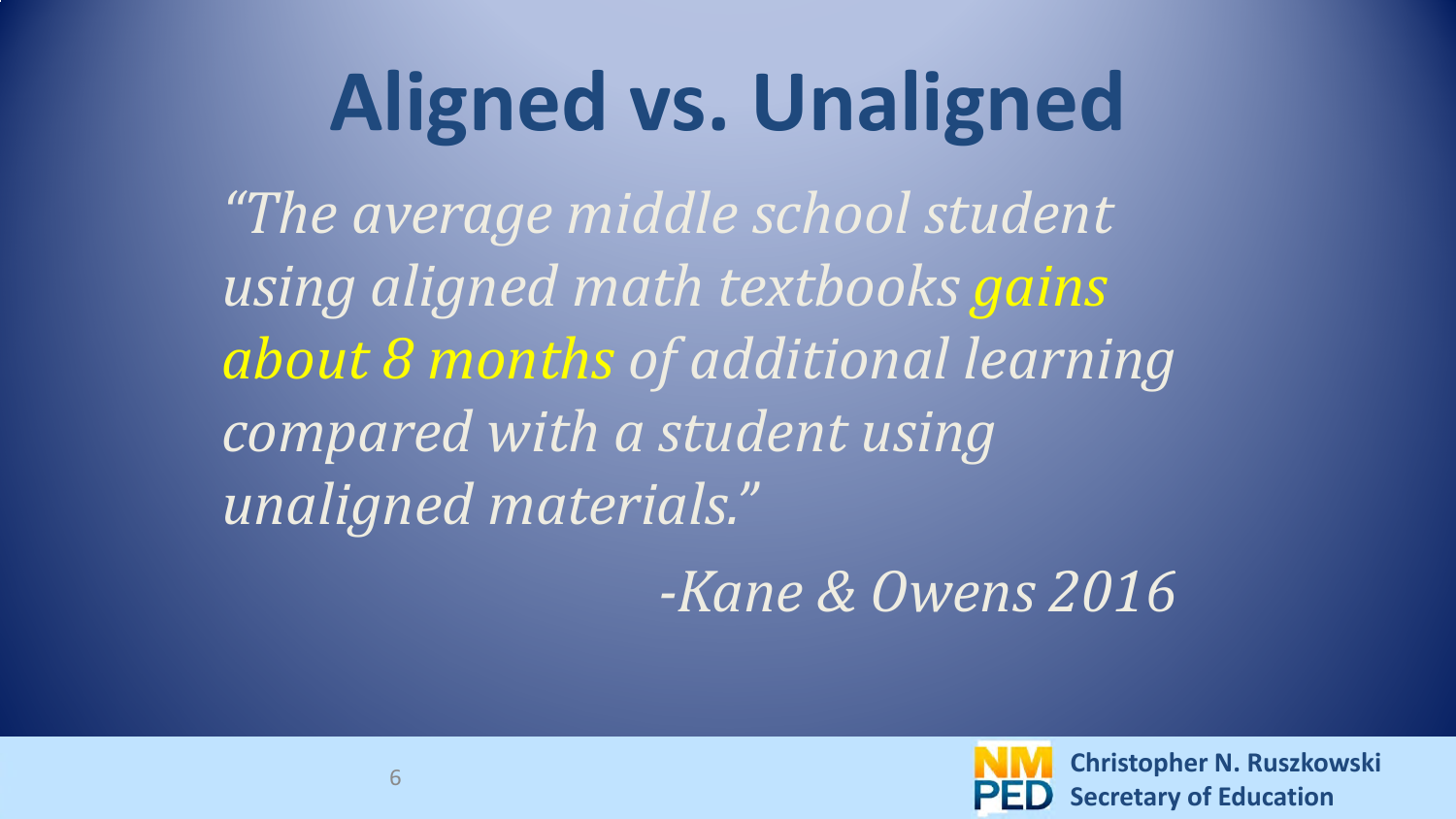#### **Aligned vs. Unaligned**

*"The average middle school student using aligned math textbooks gains about 8 months of additional learning compared with a student using unaligned materials."* 

 *-Kane & Owens 2016*

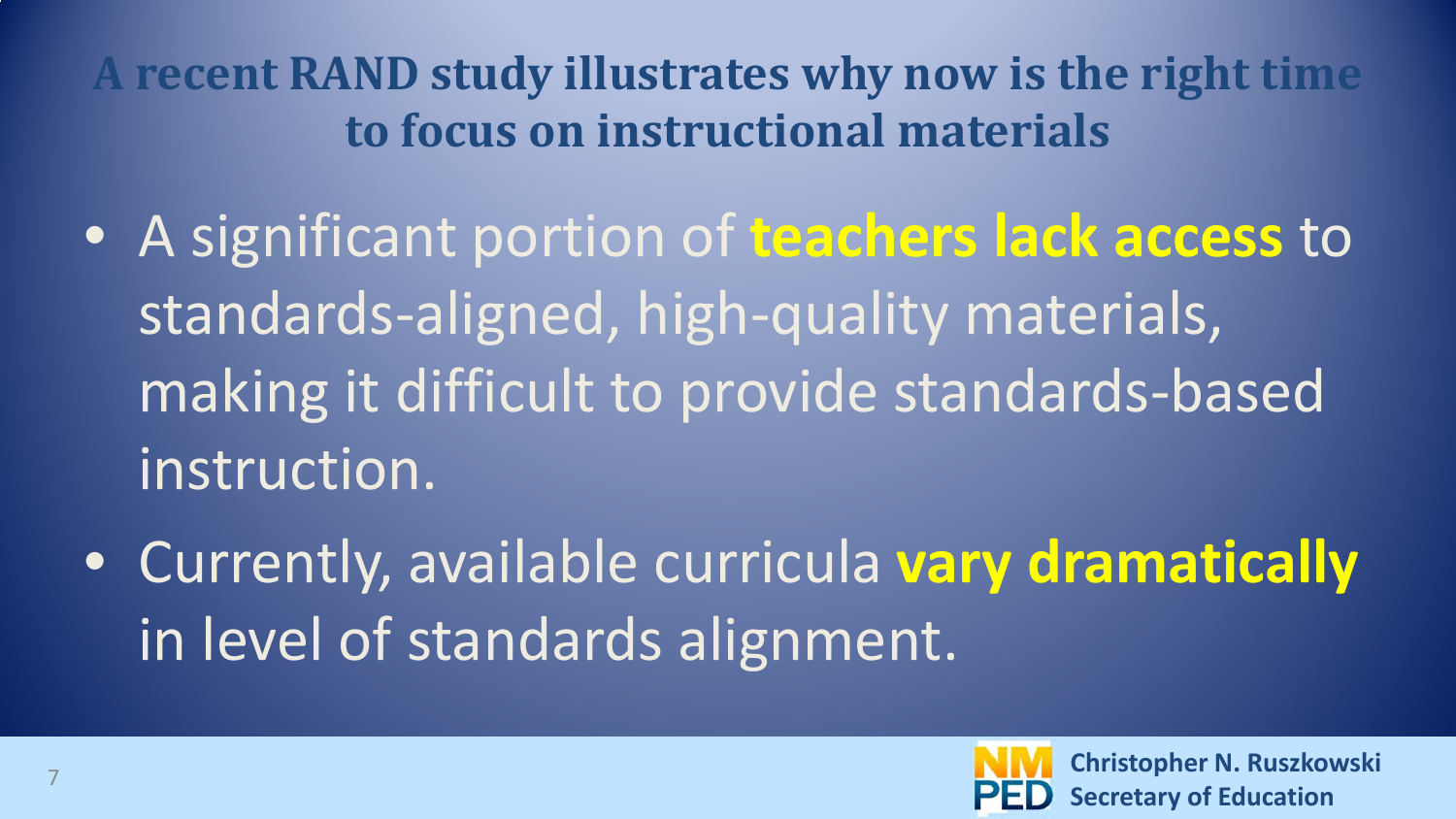**A recent RAND study illustrates why now is the right time to focus on instructional materials**

- A significant portion of **teachers lack access** to standards-aligned, high-quality materials, making it difficult to provide standards-based instruction.
- Currently, available curricula **vary dramatically** in level of standards alignment.

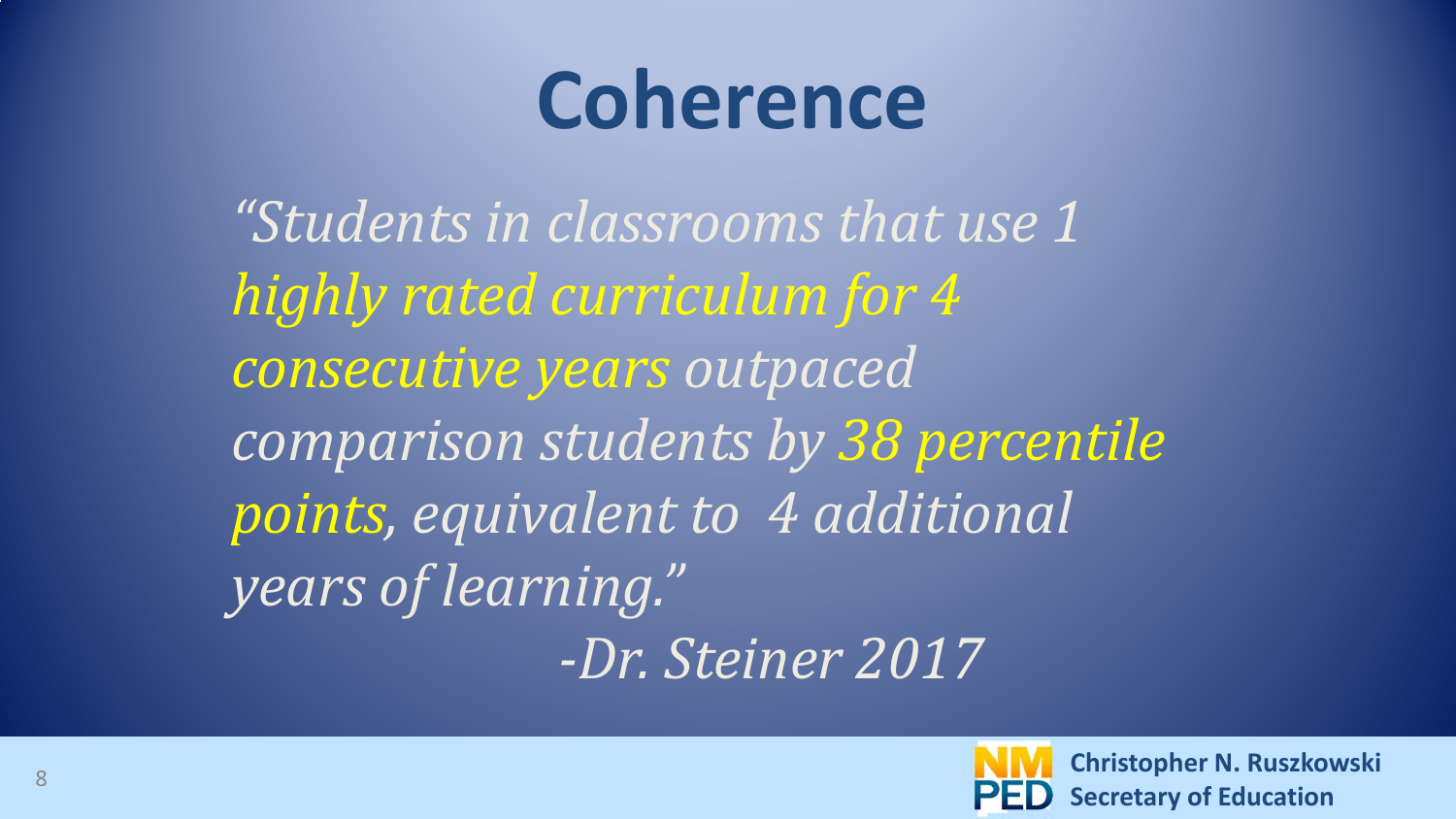#### **Coherence**

*"Students in classrooms that use 1 highly rated curriculum for 4 consecutive years outpaced comparison students by 38 percentile points, equivalent to 4 additional years of learning." -Dr. Steiner 2017*

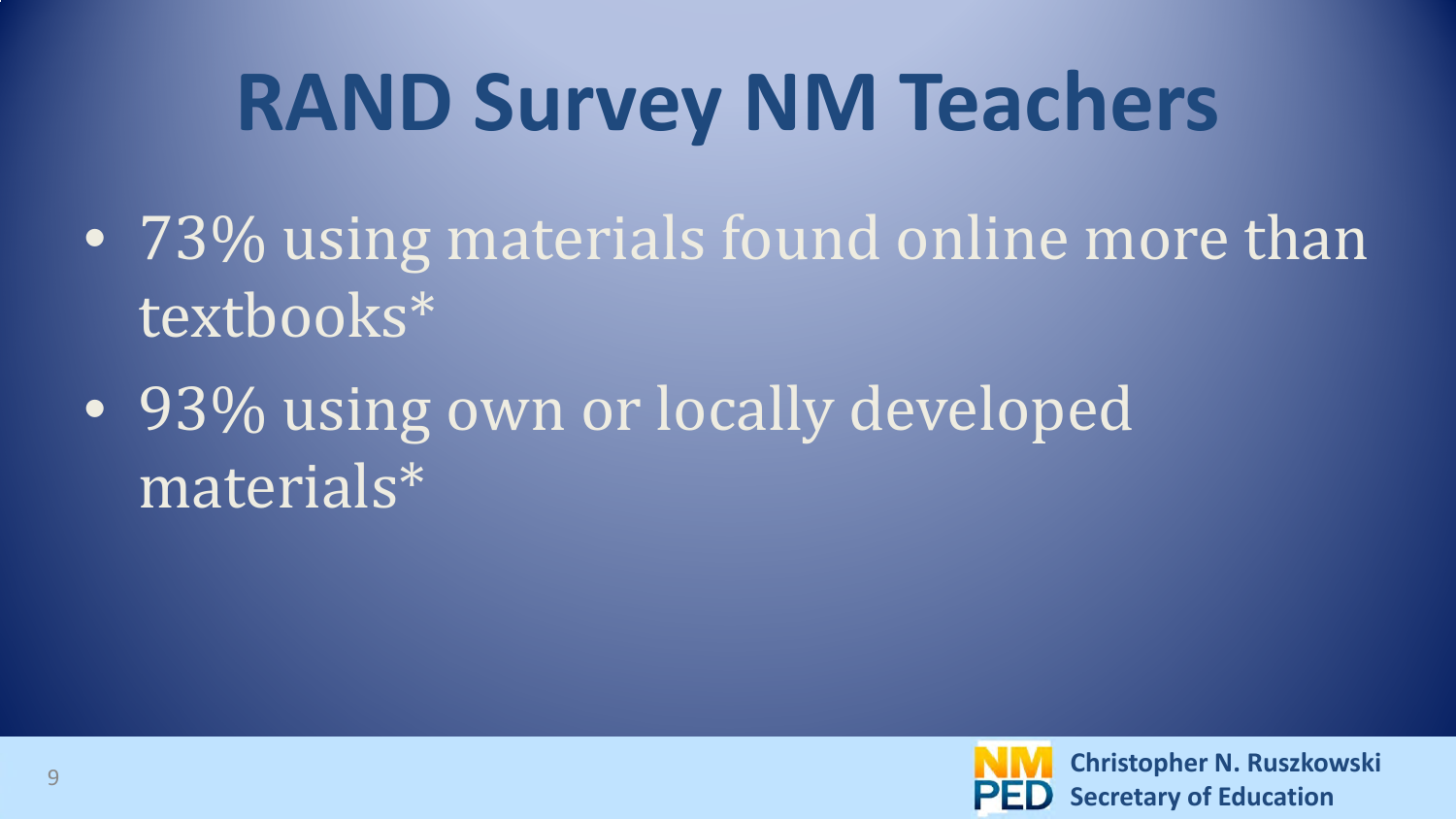## **RAND Survey NM Teachers**

- 73% using materials found online more than textbooks\*
- 93% using own or locally developed materials\*

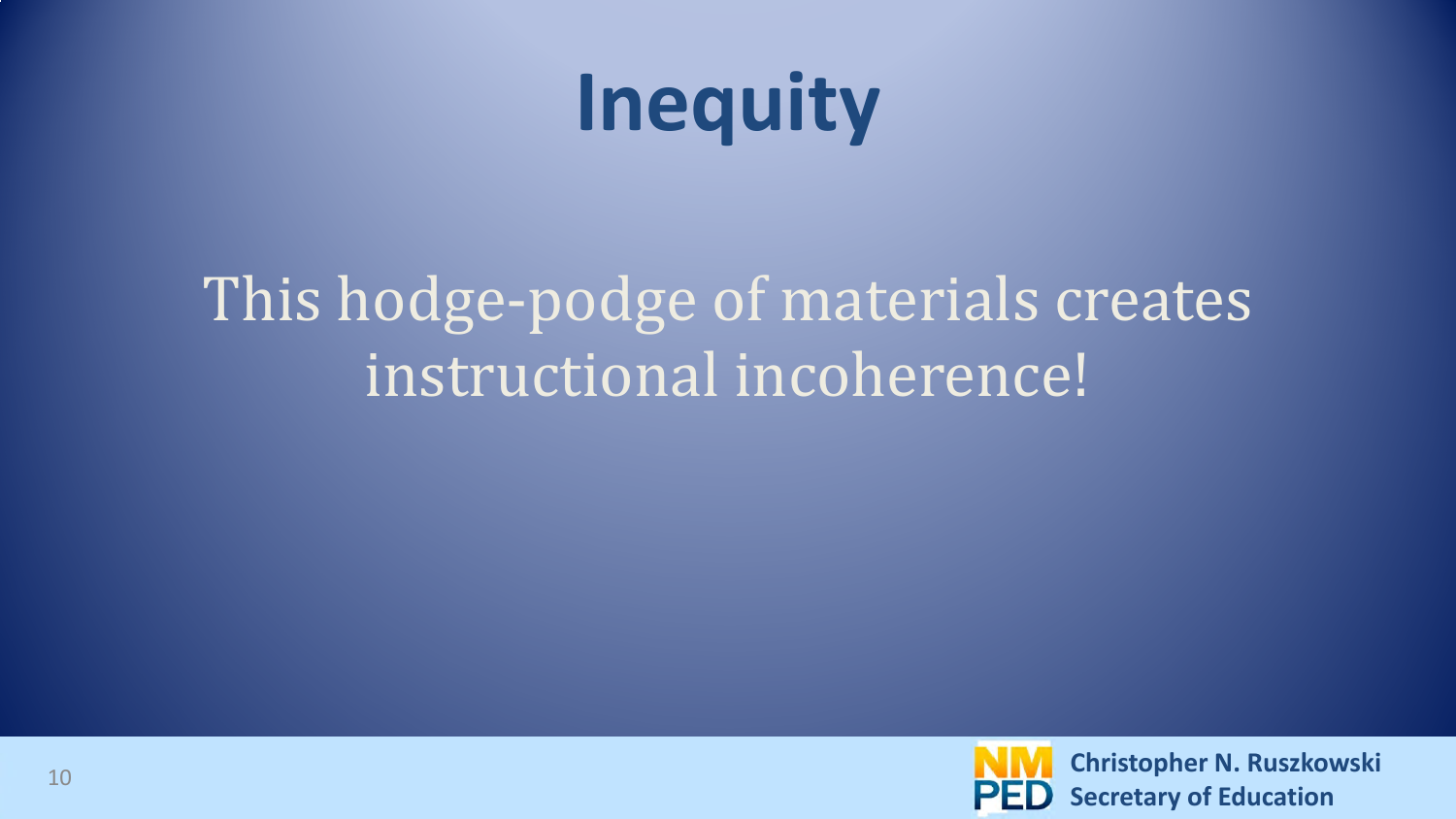### **Inequity**

#### This hodge-podge of materials creates instructional incoherence!

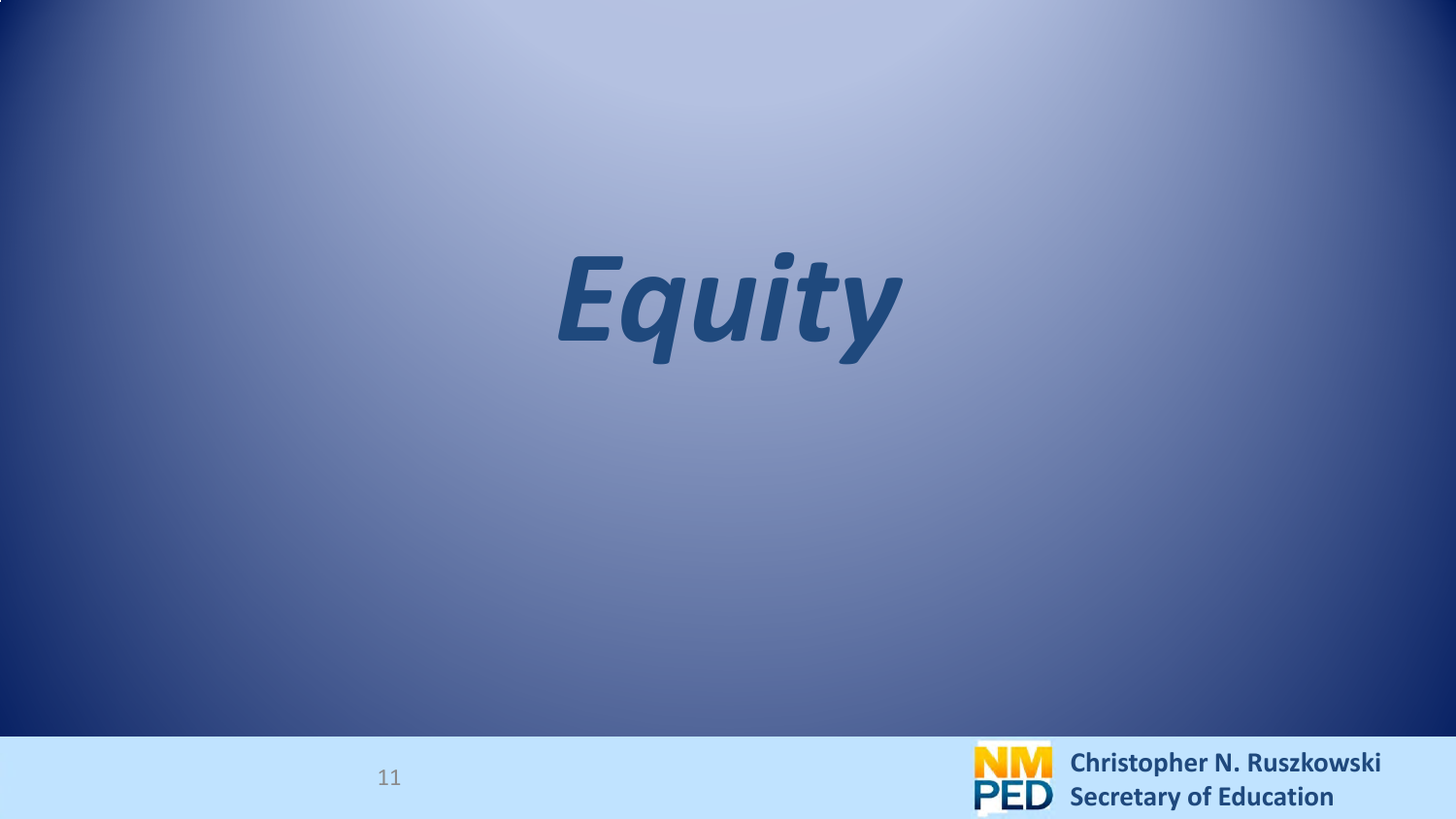

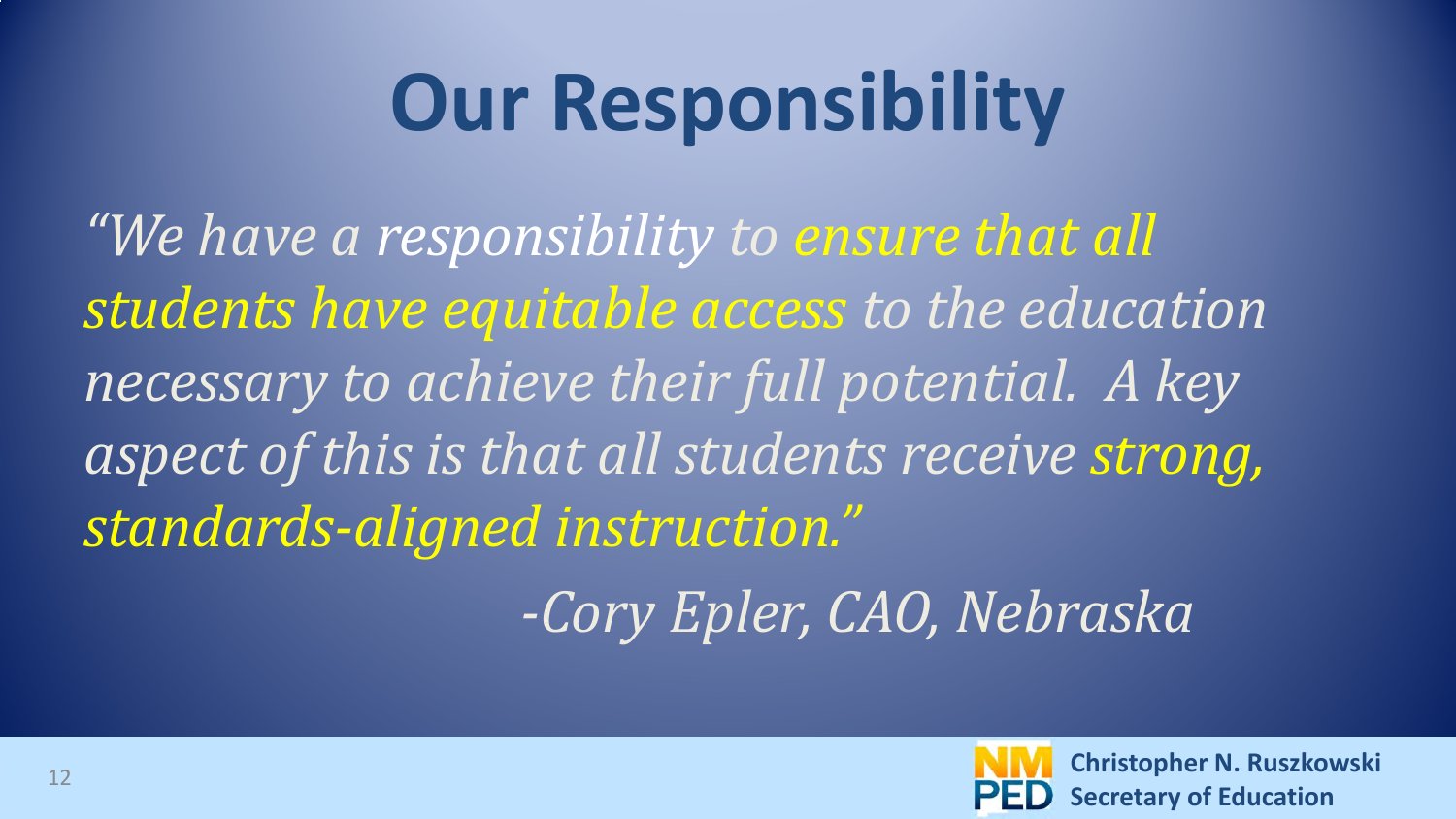## **Our Responsibility**

*"We have a responsibility to ensure that all students have equitable access to the education necessary to achieve their full potential. A key aspect of this is that all students receive strong, standards-aligned instruction."* 

 *-Cory Epler, CAO, Nebraska*

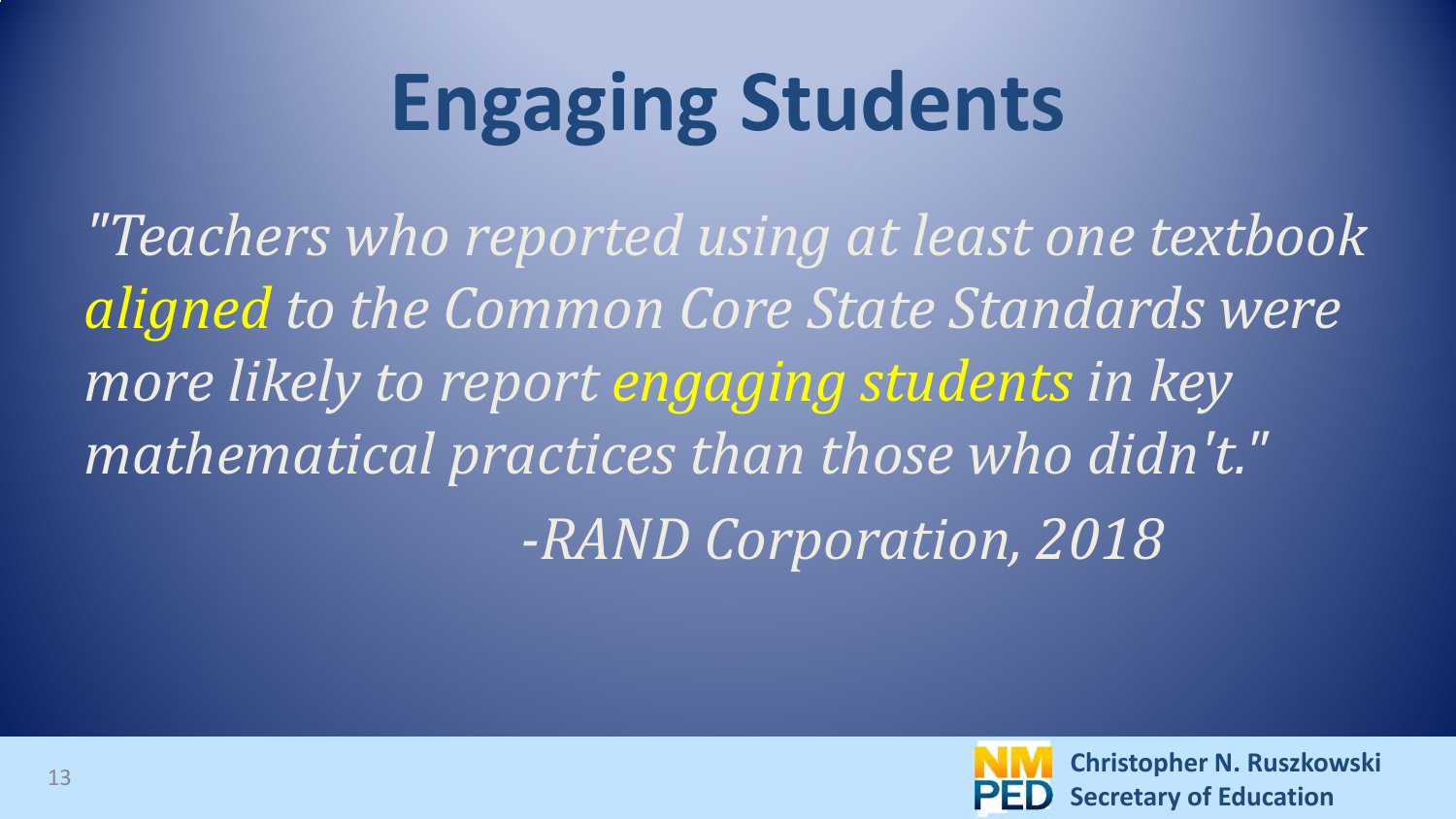## **Engaging Students**

*"Teachers who reported using at least one textbook aligned to the Common Core State Standards were more likely to report engaging students in key mathematical practices than those who didn't." -RAND Corporation, 2018*

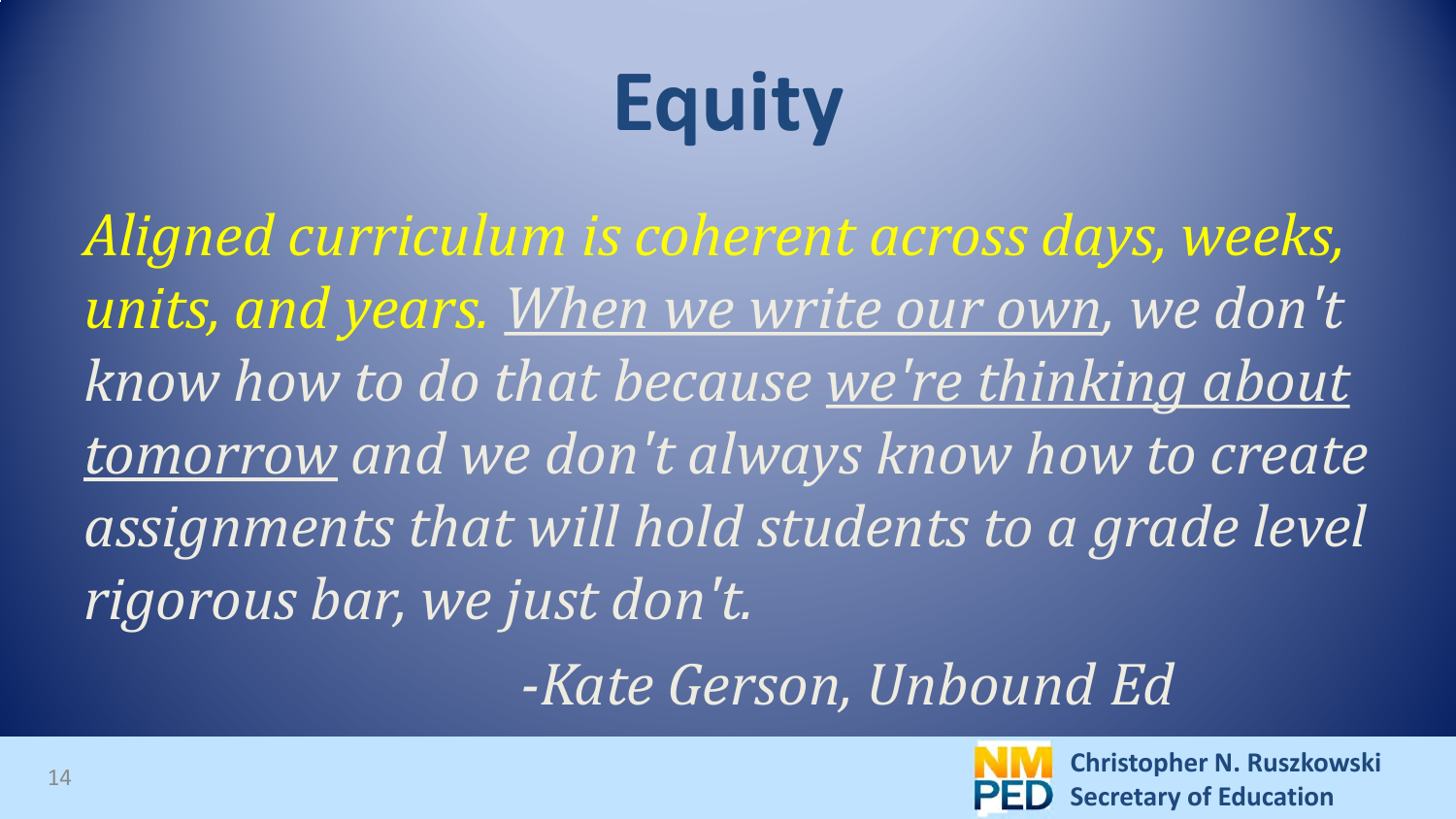## **Equity**

*Aligned curriculum is coherent across days, weeks, units, and years. When we write our own, we don't know how to do that because we're thinking about tomorrow and we don't always know how to create assignments that will hold students to a grade level rigorous bar, we just don't.* 

 *-Kate Gerson, Unbound Ed*

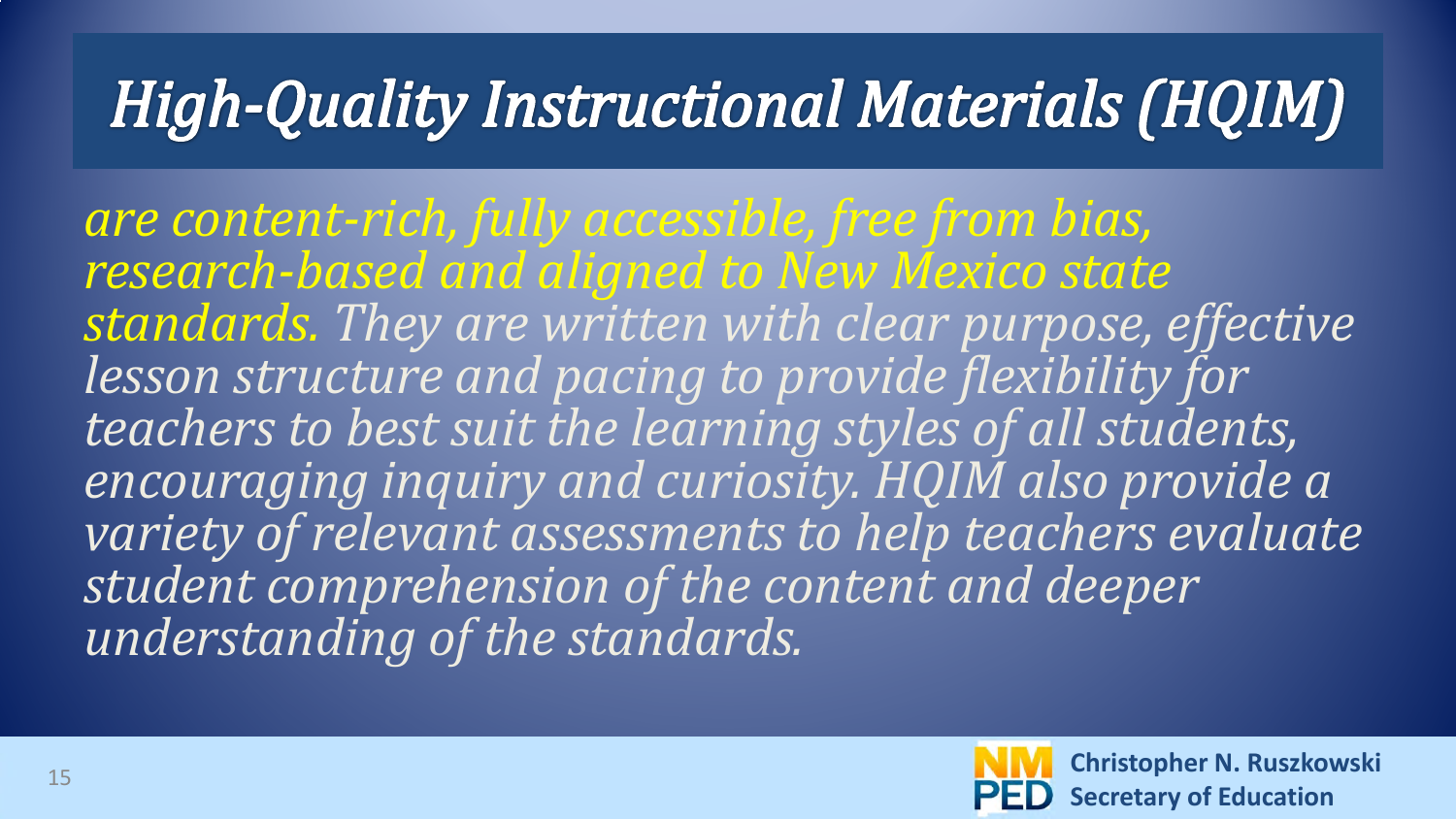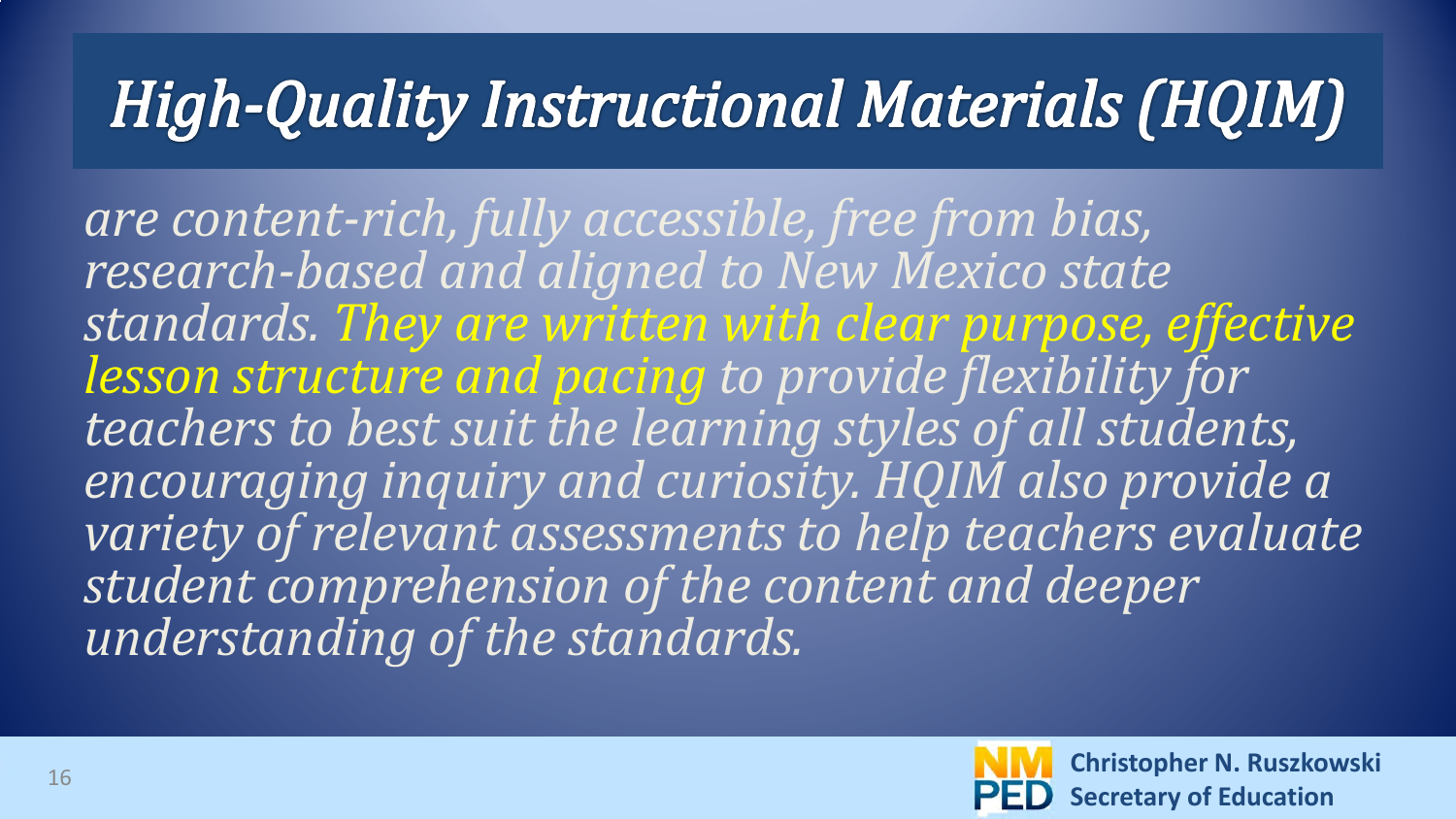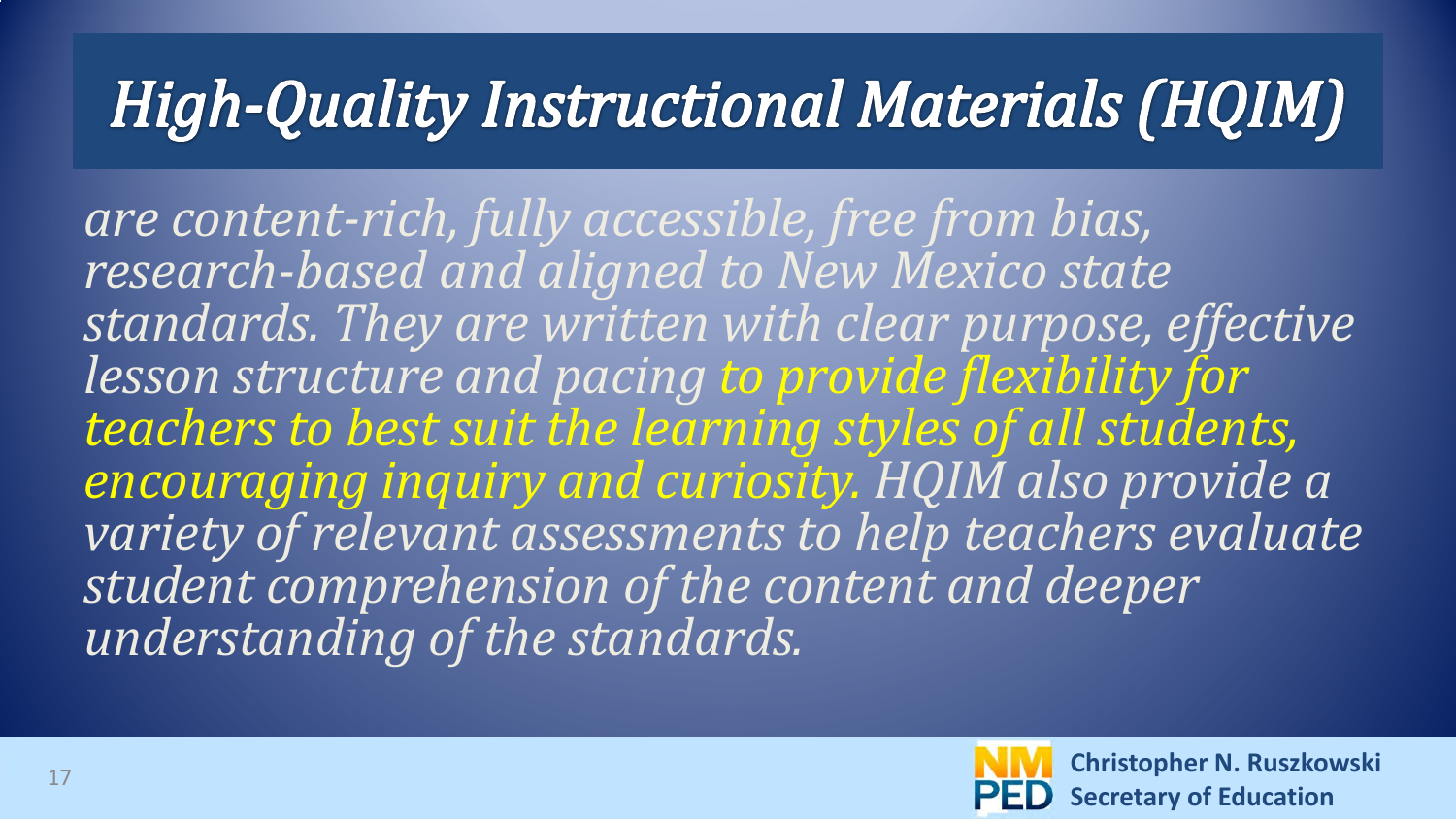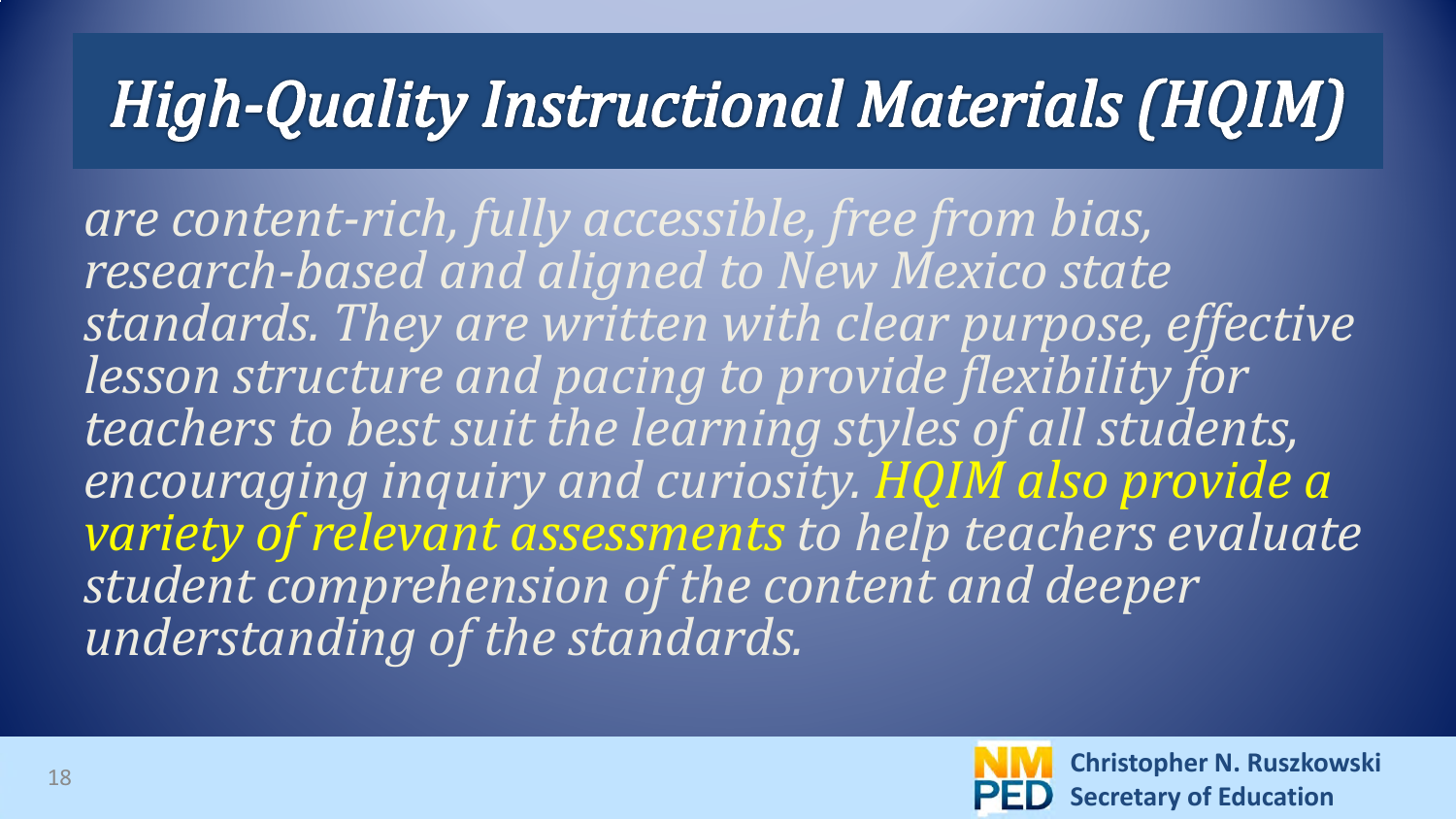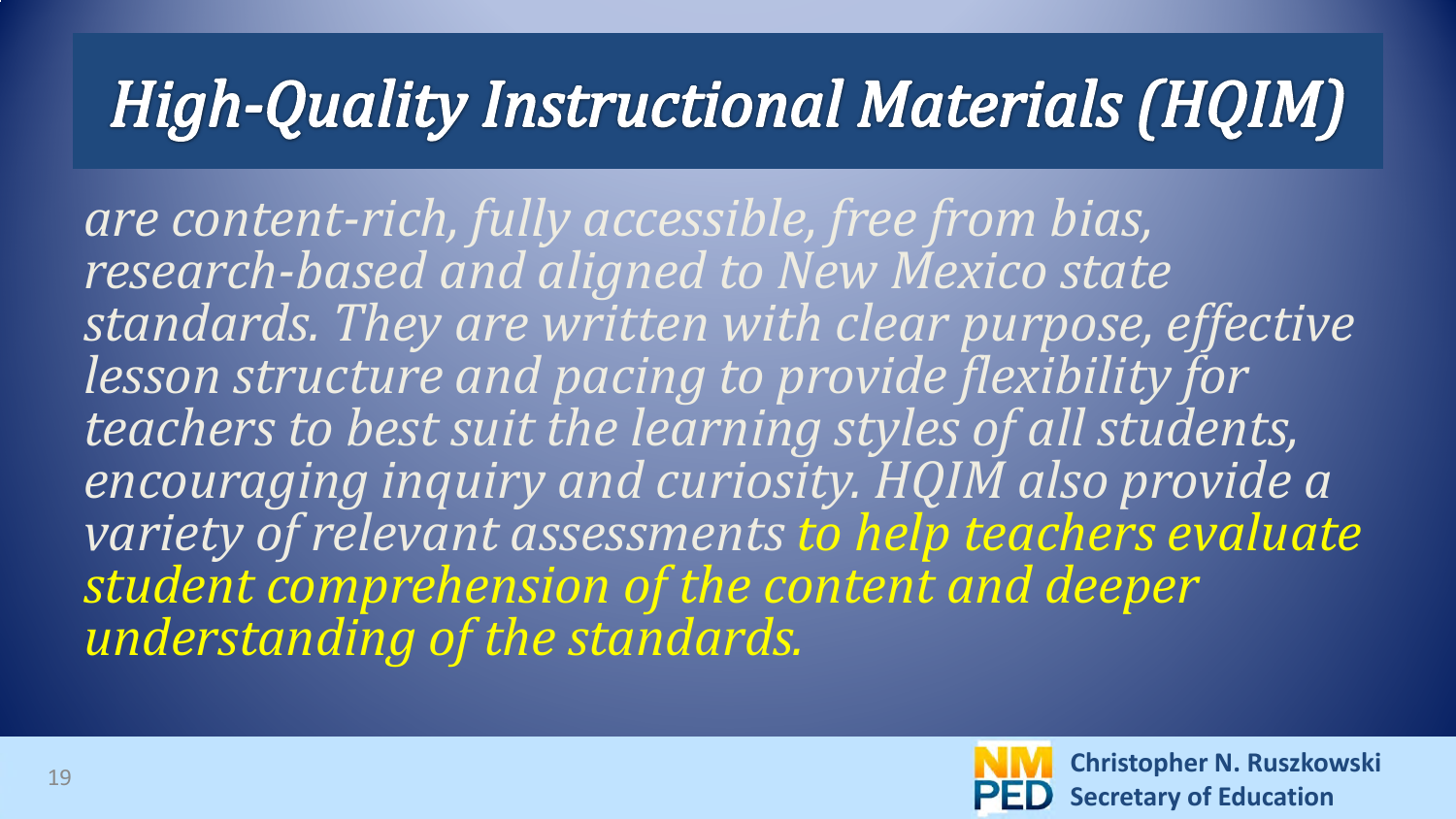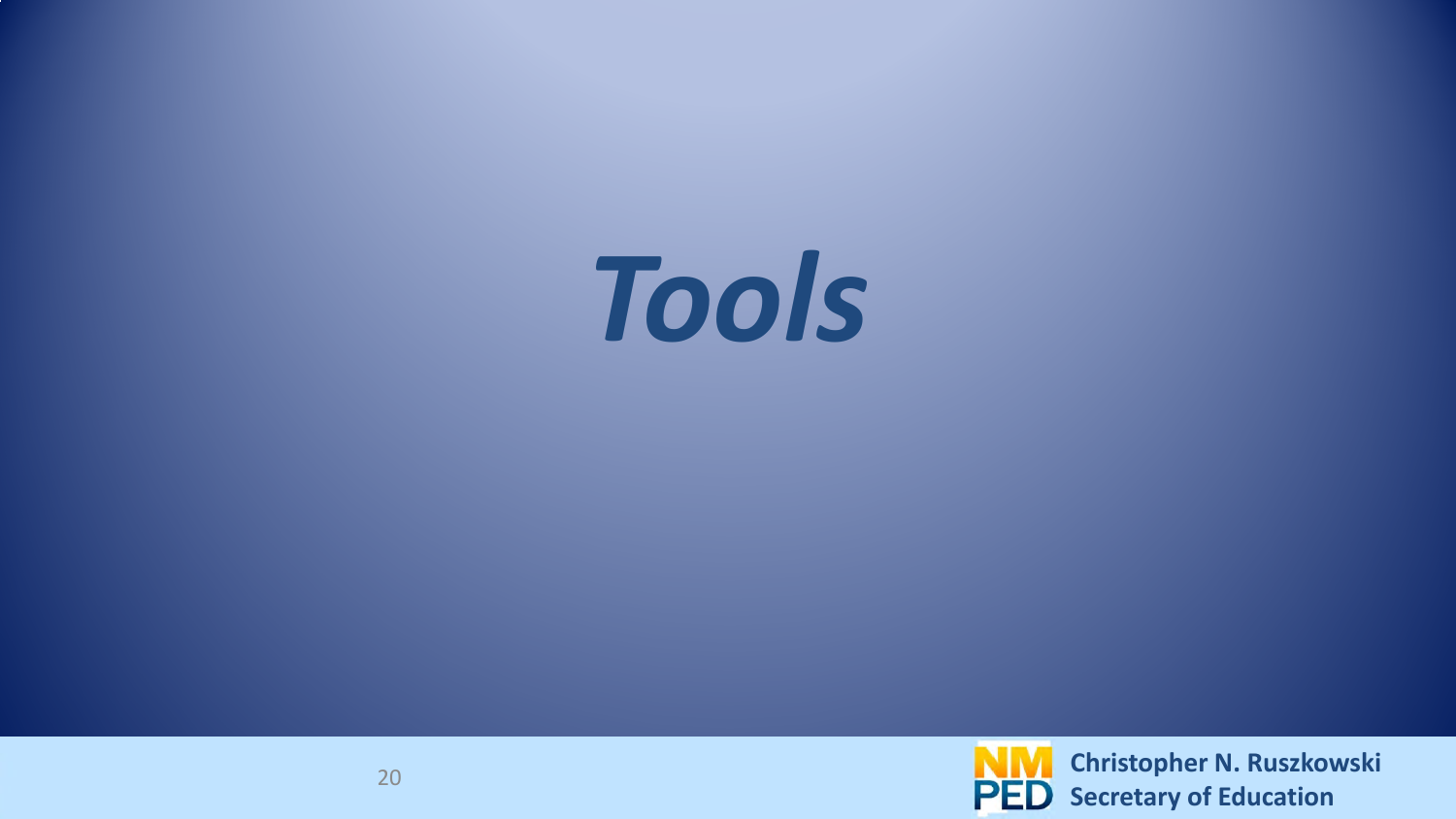

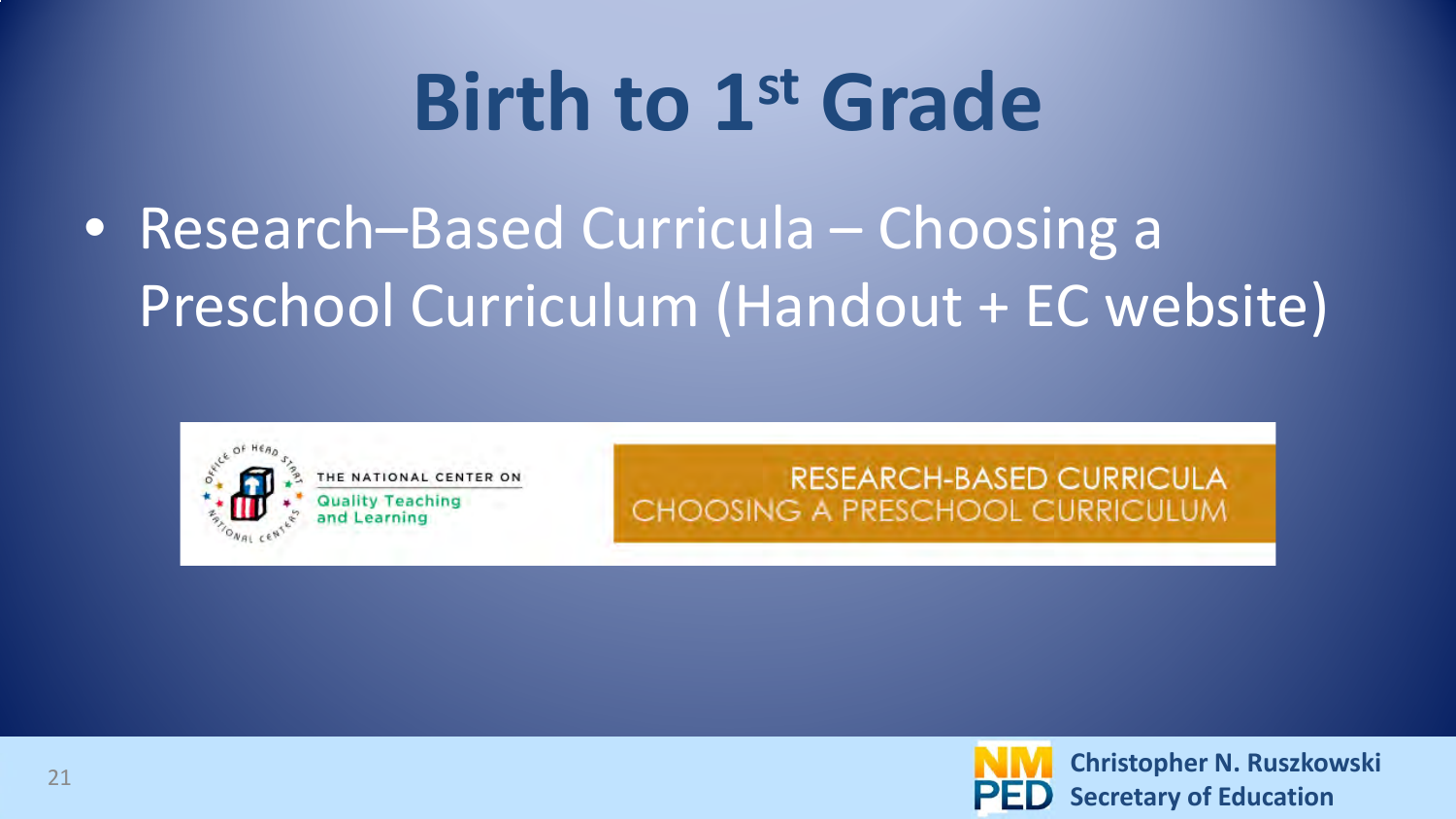#### • Research–Based Curricula – Choosing a Preschool Curriculum (Handout + EC website)



**RESEARCH-BASED CURRICULA** CHOOSING A PRESCHOOL CURRICULUM

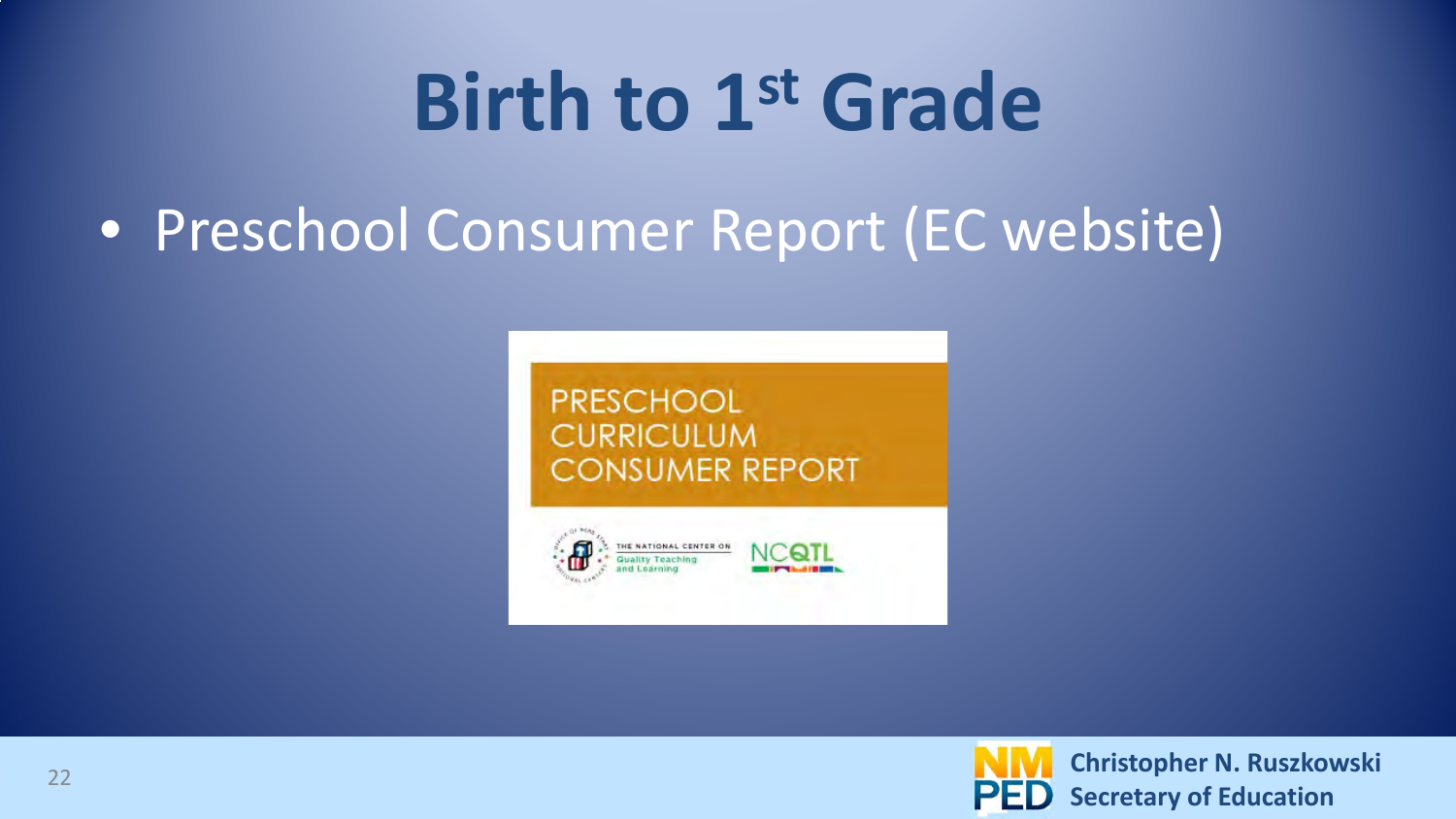#### • Preschool Consumer Report (EC website)



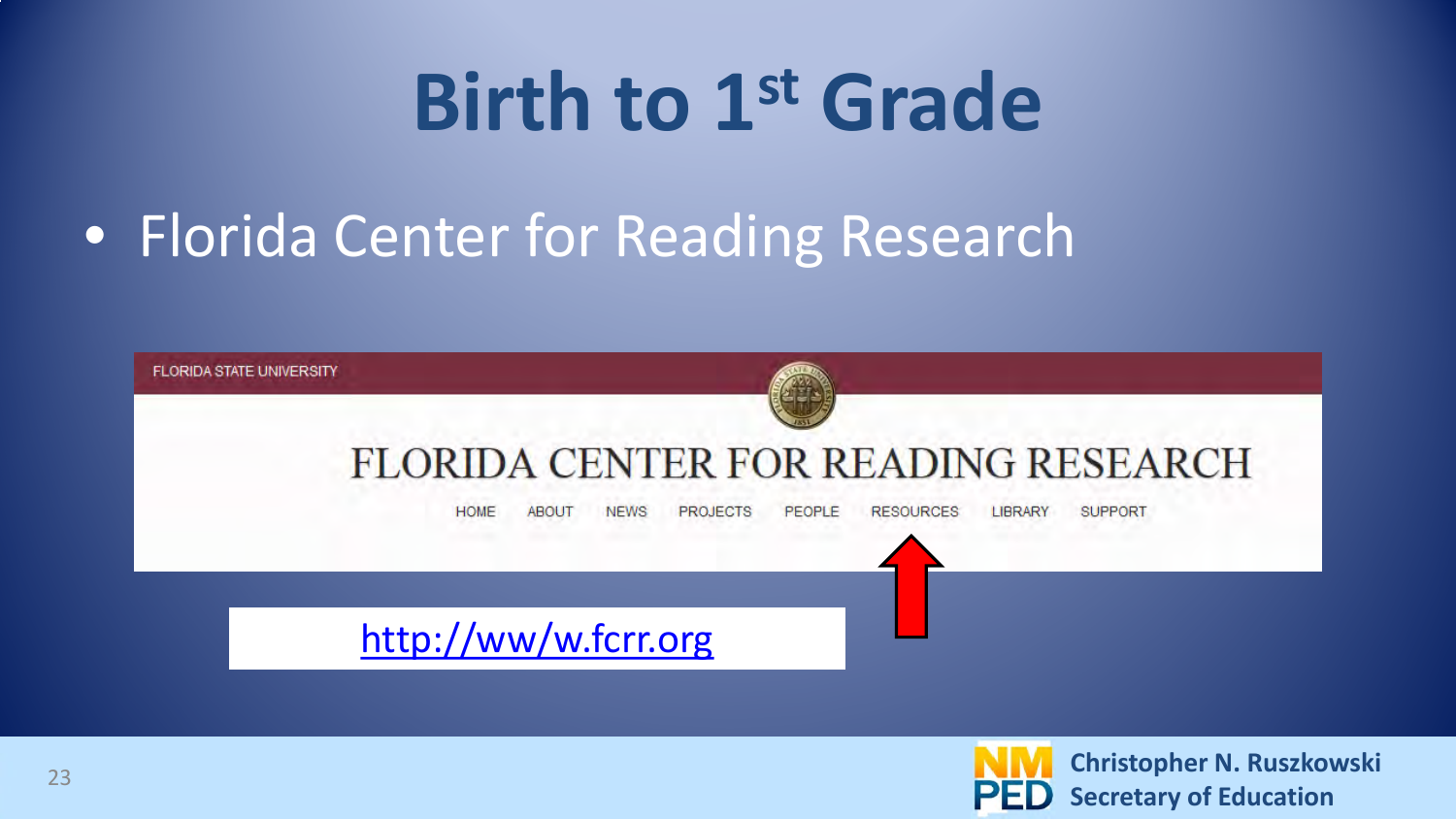#### • Florida Center for Reading Research



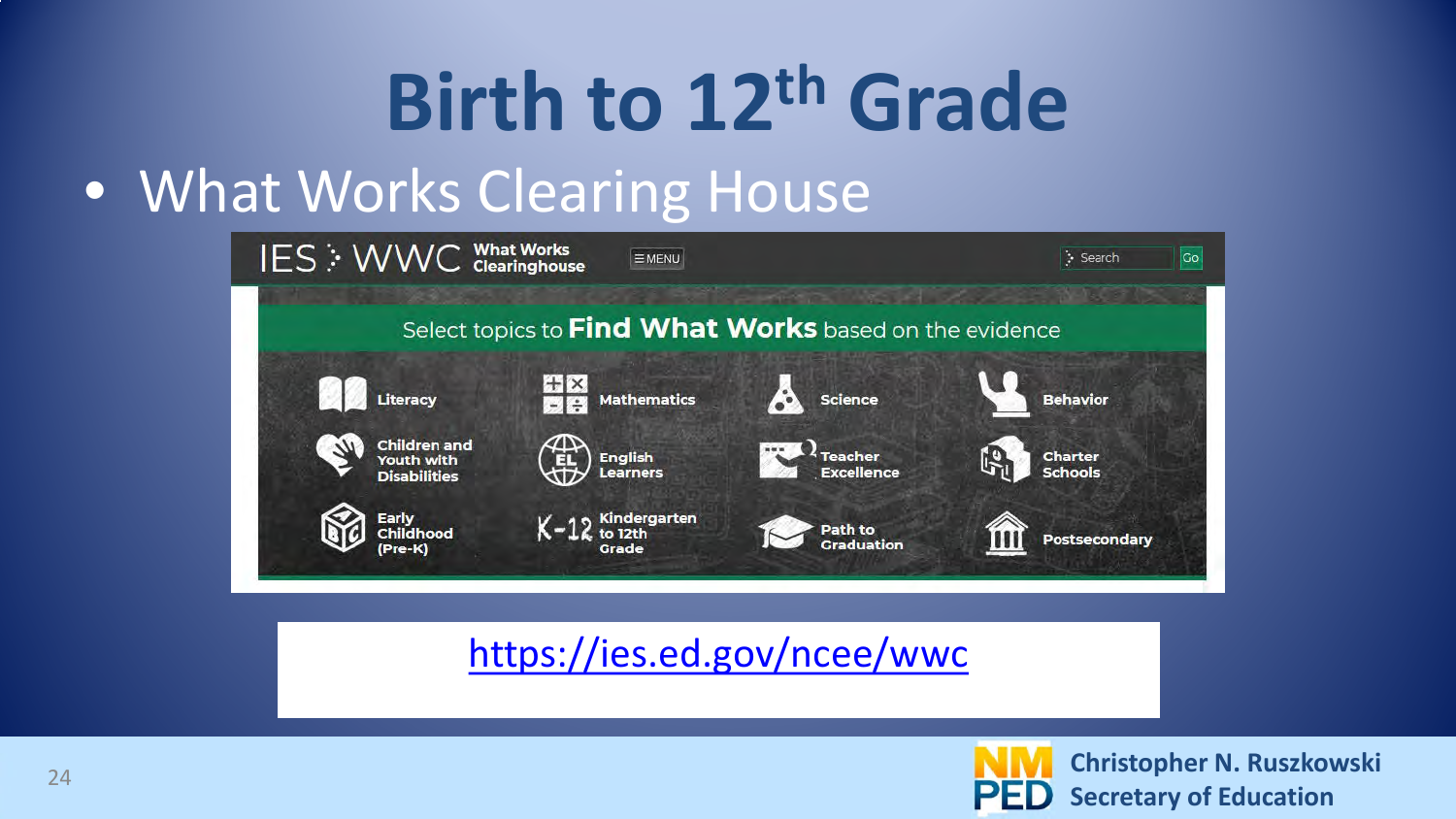#### • What Works Clearing House



#### <https://ies.ed.gov/ncee/wwc>

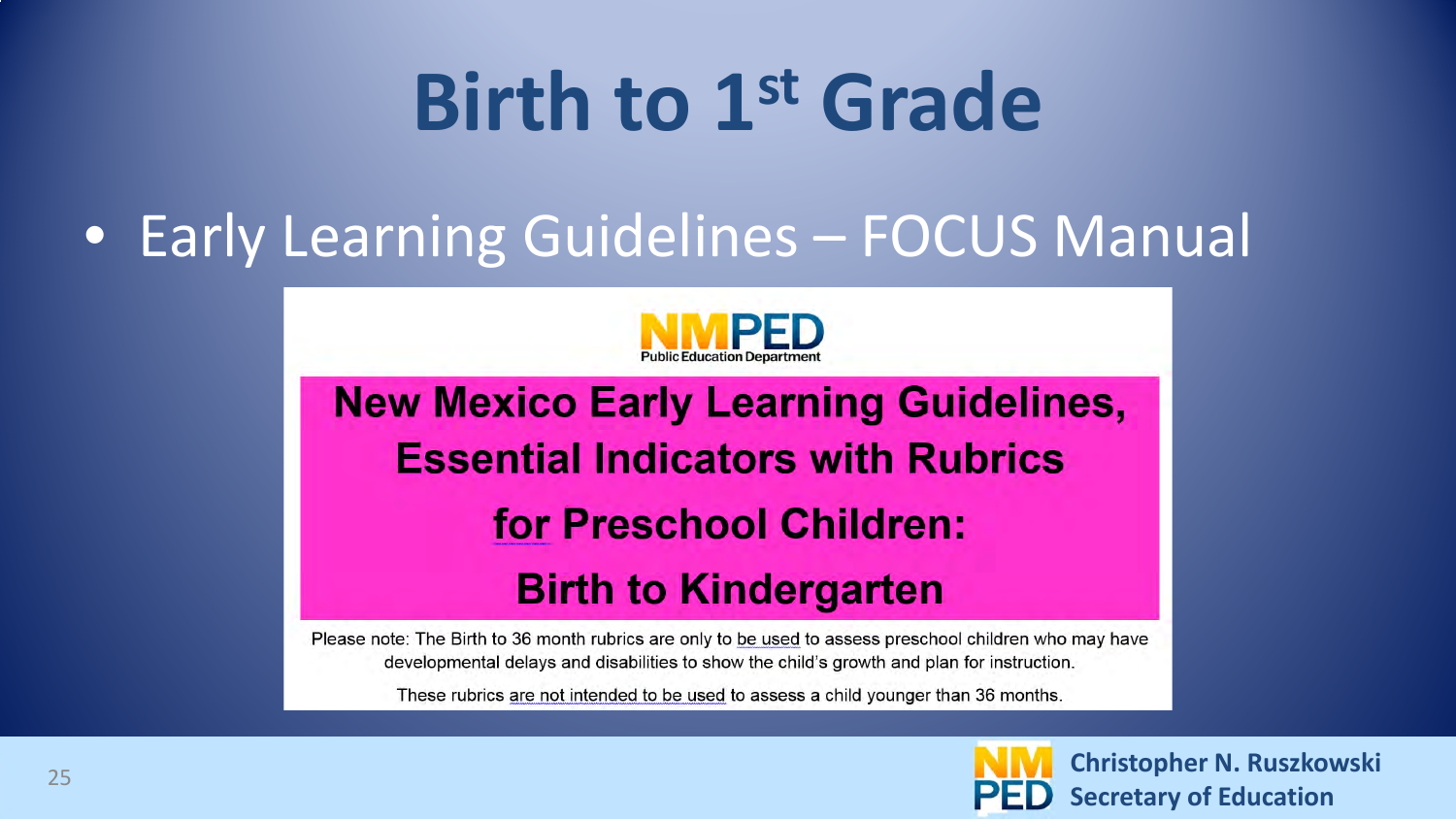#### • Early Learning Guidelines – FOCUS Manual



**New Mexico Early Learning Guidelines, Essential Indicators with Rubrics** for Preschool Children: **Birth to Kindergarten** 

Please note: The Birth to 36 month rubrics are only to be used to assess preschool children who may have developmental delays and disabilities to show the child's growth and plan for instruction.

These rubrics are not intended to be used to assess a child younger than 36 months.

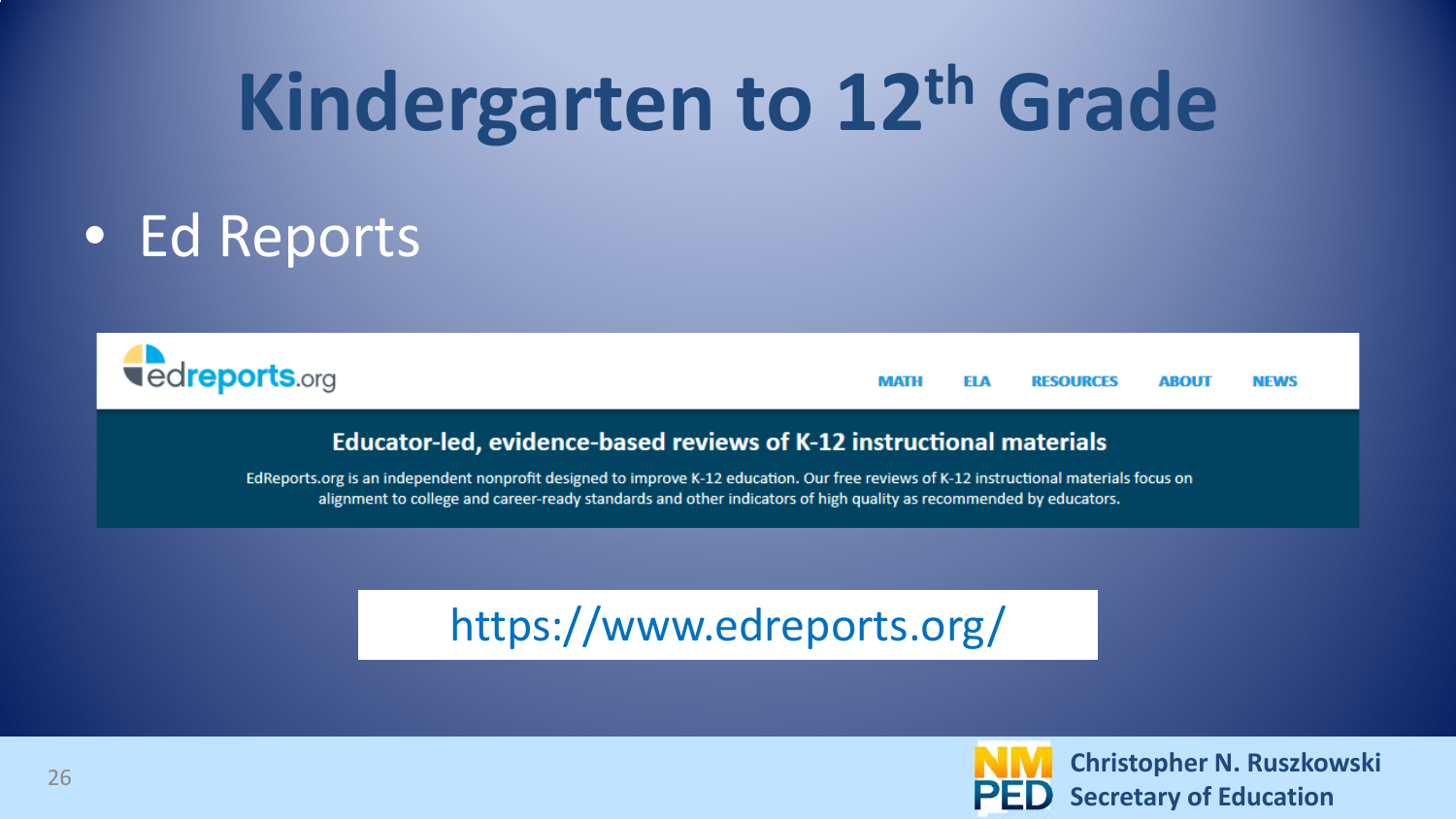## **Kindergarten to 12th Grade**

#### • Ed Reports



**MATH ELA RESOURCES ABOUT NEWS** 

#### Educator-led, evidence-based reviews of K-12 instructional materials

EdReports.org is an independent nonprofit designed to improve K-12 education. Our free reviews of K-12 instructional materials focus on alignment to college and career-ready standards and other indicators of high quality as recommended by educators.

#### https://www.edreports.org/

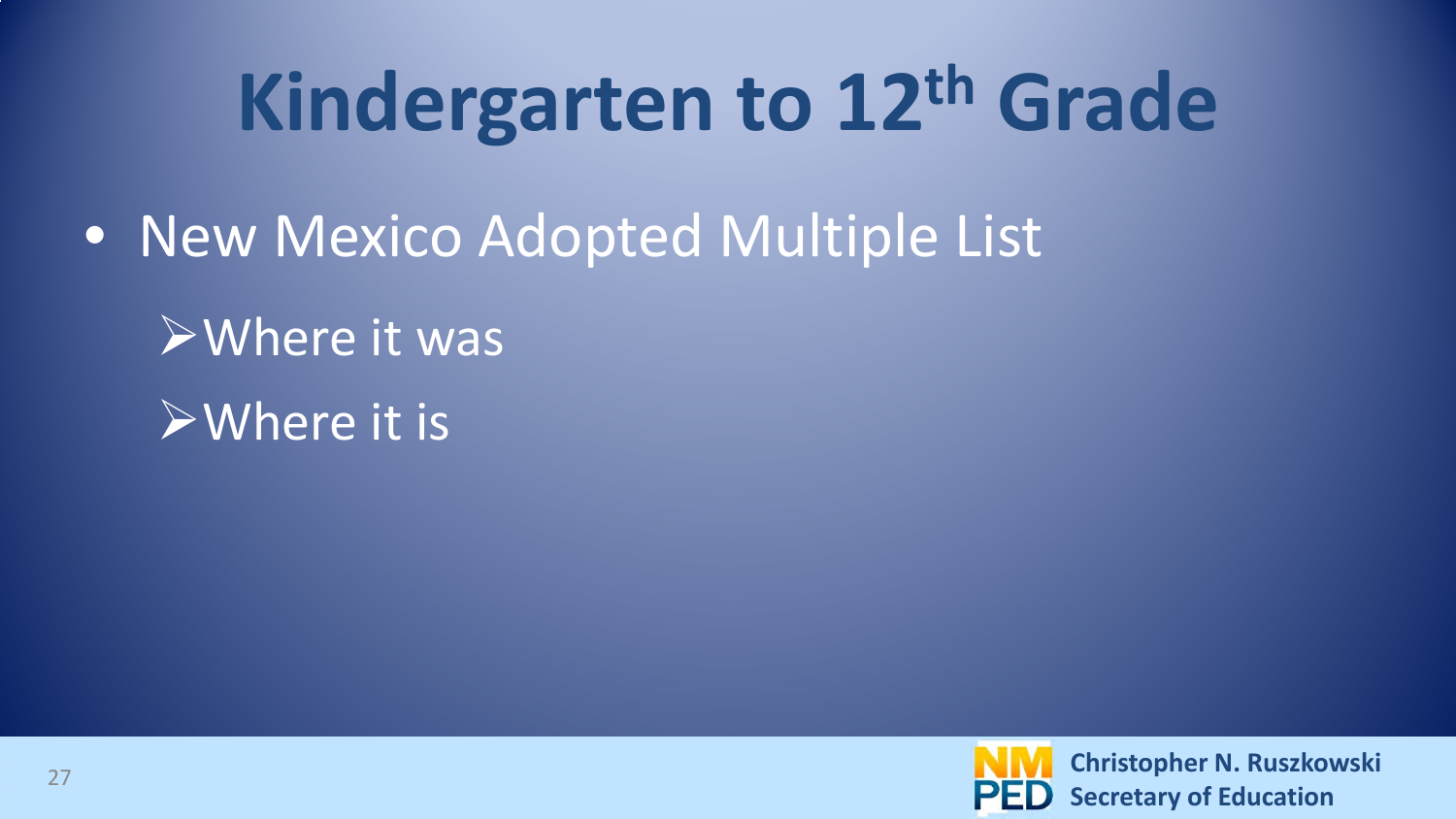## **Kindergarten to 12th Grade**

- New Mexico Adopted Multiple List
	- Where it was
	- Where it is

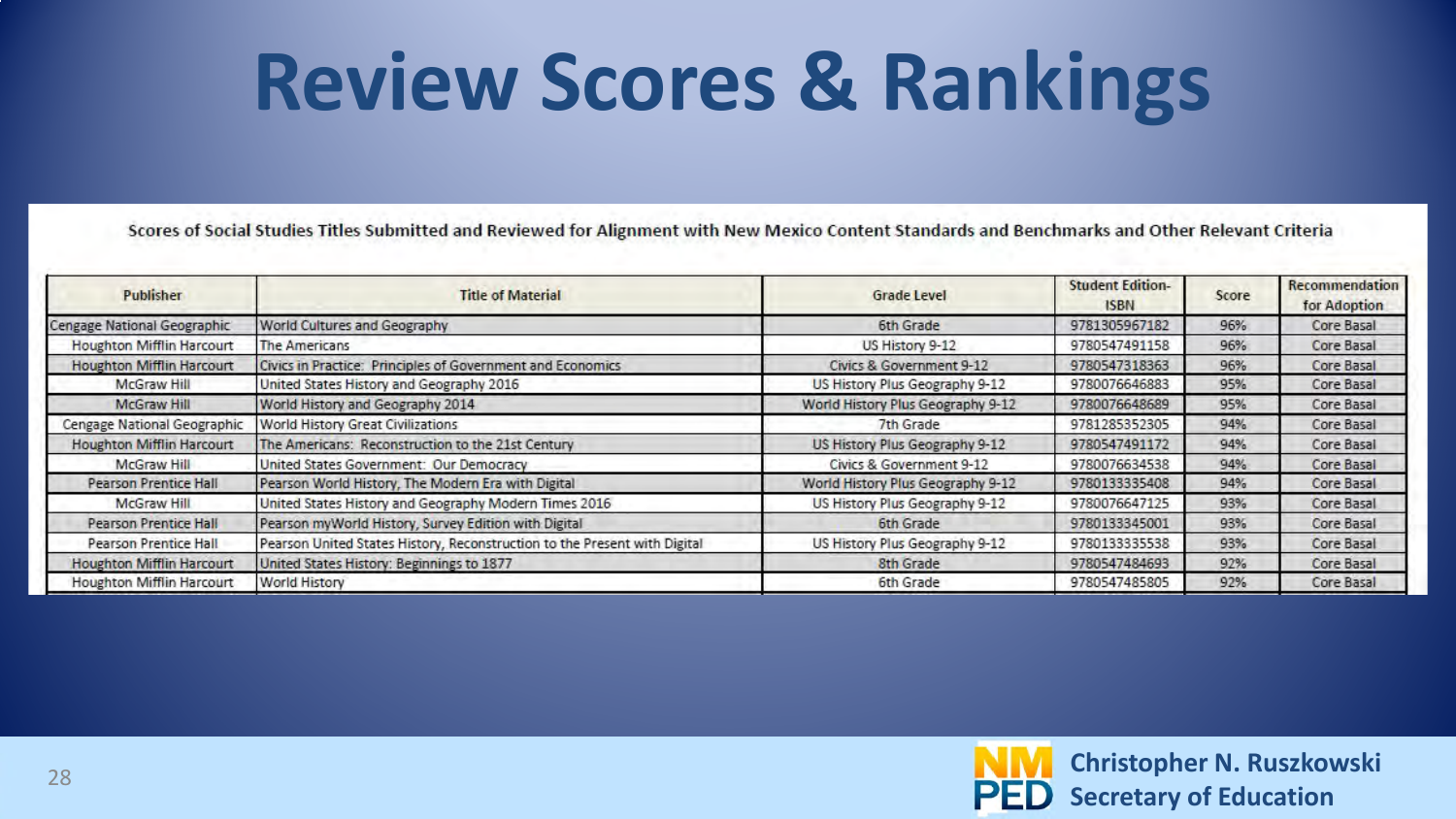#### **Review Scores & Rankings**

Scores of Social Studies Titles Submitted and Reviewed for Alignment with New Mexico Content Standards and Benchmarks and Other Relevant Criteria

| Publisher                        | <b>Title of Material</b>                                                  | Grade Level                       | <b>Student Edition-</b><br><b>ISBN</b> | Score | Recommendation<br>for Adoption |
|----------------------------------|---------------------------------------------------------------------------|-----------------------------------|----------------------------------------|-------|--------------------------------|
| Cengage National Geographic      | World Cultures and Geography                                              | 6th Grade                         | 9781305967182                          | 96%   | Core Basal                     |
| <b>Houghton Mifflin Harcourt</b> | The Americans                                                             | US History 9-12                   | 9780547491158                          | 96%   | Core Basal                     |
| <b>Houghton Mifflin Harcourt</b> | Civics in Practice: Principles of Government and Economics                | Civics & Government 9-12          | 9780547318363                          | 96%   | Core Basal                     |
| <b>McGraw Hill</b>               | United States History and Geography 2016                                  | US History Plus Geography 9-12    | 9780076646883                          | 95%   | Core Basal                     |
| McGraw Hill                      | World History and Geography 2014                                          | World History Plus Geography 9-12 | 9780076648689                          | 95%   | Core Basal                     |
| Cengage National Geographic      | World History Great Civilizations                                         | 7th Grade                         | 9781285352305                          | 94%   | Core Basal                     |
| <b>Houghton Mifflin Harcourt</b> | The Americans: Reconstruction to the 21st Century                         | US History Plus Geography 9-12    | 9780547491172                          | 94%   | Core Basal                     |
| McGraw Hill                      | United States Government: Our Democracy                                   | Civics & Government 9-12          | 9780076634538                          | 94%   | Core Basal                     |
| <b>Pearson Prentice Hall</b>     | Pearson World History, The Modern Era with Digital                        | World History Plus Geography 9-12 | 9780133335408                          | 94%   | Core Basal                     |
| McGraw Hill                      | United States History and Geography Modern Times 2016                     | US History Plus Geography 9-12    | 9780076647125                          | 93%   | Core Basal                     |
| <b>Pearson Prentice Hall</b>     | Pearson myWorld History, Survey Edition with Digital                      | 6th Grade                         | 9780133345001                          | 93%   | Core Basal                     |
| <b>Pearson Prentice Hall</b>     | Pearson United States History, Reconstruction to the Present with Digital | US History Plus Geography 9-12    | 9780133335538                          | 93%   | Core Basal                     |
| <b>Houghton Mifflin Harcourt</b> | United States History: Beginnings to 1877                                 | 8th Grade                         | 9780547484693                          | 92%   | Core Basal                     |
| <b>Houghton Mifflin Harcourt</b> | <b>World History</b>                                                      | 6th Grade                         | 9780547485805                          | 92%   | Core Basal                     |

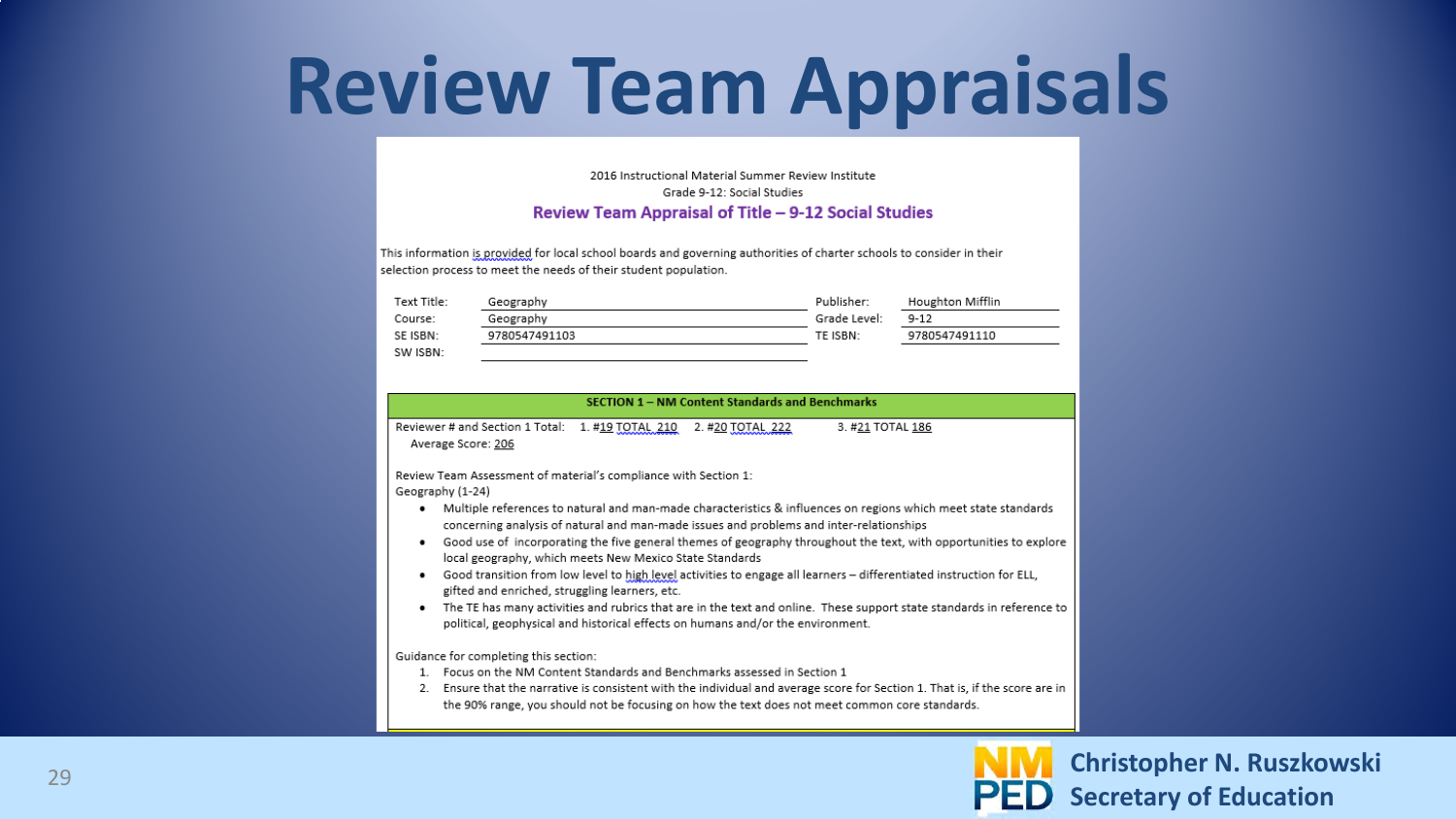#### **Review Team Appraisals**

#### 2016 Instructional Material Summer Review Institute Grade 9-12: Social Studies Review Team Appraisal of Title - 9-12 Social Studies

This information is provided for local school boards and governing authorities of charter schools to consider in their selection process to meet the needs of their student population.

| Text Title: | Geography     | Publisher:   | Houghton Mifflin |
|-------------|---------------|--------------|------------------|
| Course:     | Geography     | Grade Level: | $9 - 12$         |
| SE ISBN:    | 9780547491103 | TE ISBN:     | 9780547491110    |
| SW ISBN:    |               |              |                  |

#### **SECTION 1 - NM Content Standards and Benchmarks**

Reviewer # and Section 1 Total: 1. #19 TOTAL 210 2. #20 TOTAL 222 3. #21 TOTAL 186 Average Score: 206

Review Team Assessment of material's compliance with Section 1: Geography (1-24)

- Multiple references to natural and man-made characteristics & influences on regions which meet state standards concerning analysis of natural and man-made issues and problems and inter-relationships
- Good use of incorporating the five general themes of geography throughout the text, with opportunities to explore local geography, which meets New Mexico State Standards
- . Good transition from low level to high level activities to engage all learners differentiated instruction for ELL, gifted and enriched, struggling learners, etc.
- The TE has many activities and rubrics that are in the text and online. These support state standards in reference to political, geophysical and historical effects on humans and/or the environment.

Guidance for completing this section:

- 1. Focus on the NM Content Standards and Benchmarks assessed in Section 1
- 2. Ensure that the narrative is consistent with the individual and average score for Section 1. That is, if the score are in the 90% range, you should not be focusing on how the text does not meet common core standards.

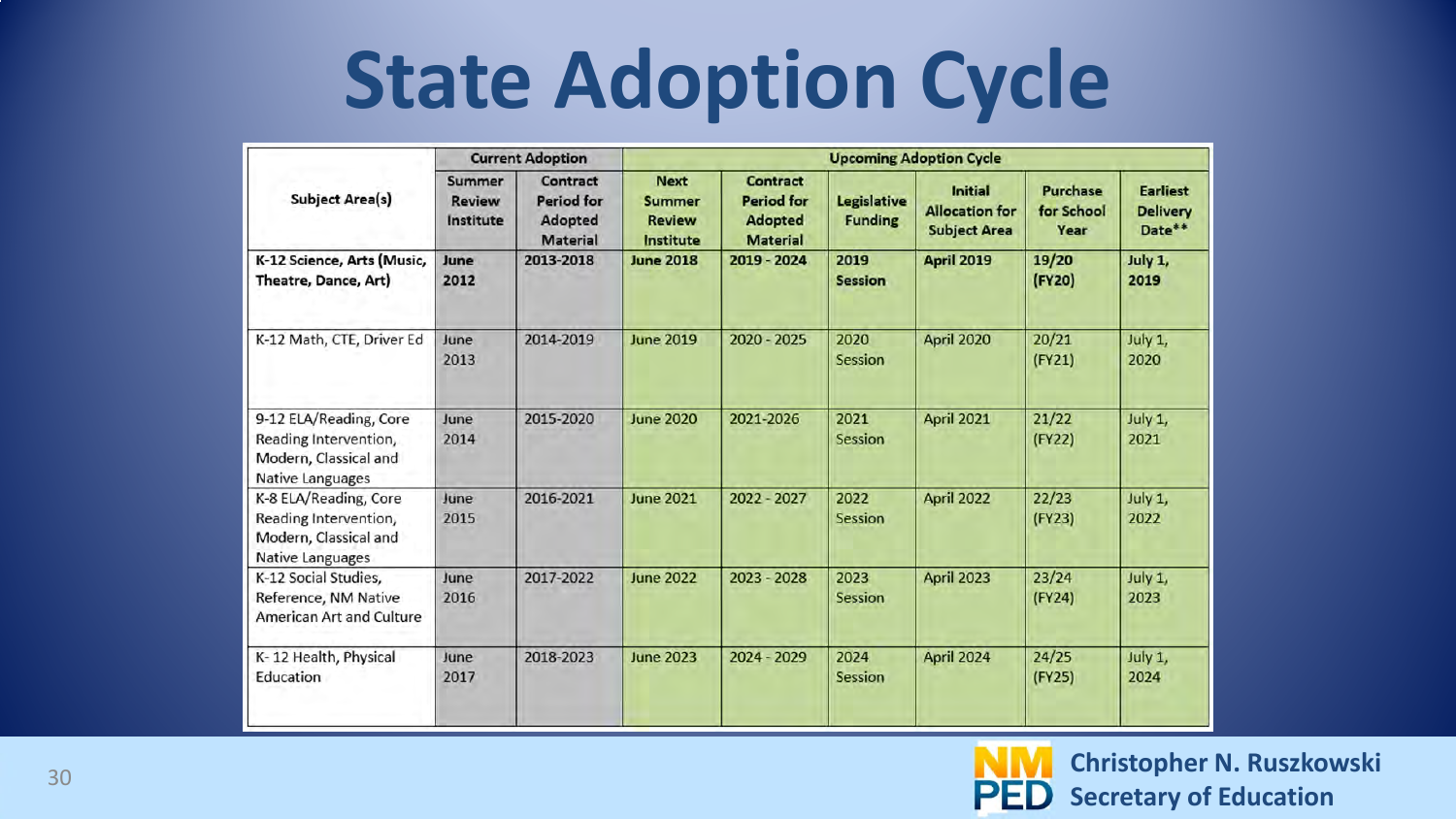#### **State Adoption Cycle**

|                                                                                                     | <b>Current Adoption</b>              |                                                             | <b>Upcoming Adoption Cycle</b>                             |                                                                           |                                      |                                                         |                                       |                                              |
|-----------------------------------------------------------------------------------------------------|--------------------------------------|-------------------------------------------------------------|------------------------------------------------------------|---------------------------------------------------------------------------|--------------------------------------|---------------------------------------------------------|---------------------------------------|----------------------------------------------|
| <b>Subject Area(s)</b>                                                                              | Summer<br><b>Review</b><br>Institute | Contract<br><b>Period for</b><br>Adopted<br><b>Material</b> | <b>Next</b><br><b>Summer</b><br><b>Review</b><br>Institute | <b>Contract</b><br><b>Period for</b><br><b>Adopted</b><br><b>Material</b> | <b>Legislative</b><br><b>Funding</b> | Initial<br><b>Allocation for</b><br><b>Subject Area</b> | <b>Purchase</b><br>for School<br>Year | <b>Earliest</b><br><b>Delivery</b><br>Date** |
| K-12 Science, Arts (Music,<br>Theatre, Dance, Art)                                                  | June<br>2012                         | 2013-2018                                                   | <b>June 2018</b>                                           | 2019 - 2024                                                               | 2019<br><b>Session</b>               | April 2019                                              | 19/20<br>(FY20)                       | July 1,<br>2019                              |
| K-12 Math, CTE, Driver Ed                                                                           | June<br>2013                         | 2014-2019                                                   | <b>June 2019</b>                                           | 2020 - 2025                                                               | 2020<br>Session                      | April 2020                                              | 20/21<br>(FY21)                       | July 1,<br>2020                              |
| 9-12 ELA/Reading, Core<br>Reading Intervention,<br>Modern, Classical and<br><b>Native Languages</b> | June<br>2014                         | 2015-2020                                                   | <b>June 2020</b>                                           | 2021-2026                                                                 | 2021<br>Session                      | April 2021                                              | 21/22<br>(FY22)                       | July 1,<br>2021                              |
| K-8 ELA/Reading, Core<br>Reading Intervention,<br>Modern, Classical and<br>Native Languages         | June<br>2015                         | 2016-2021                                                   | <b>June 2021</b>                                           | 2022 - 2027                                                               | 2022<br><b>Session</b>               | April 2022                                              | 22/23<br>(FY23)                       | July 1,<br>2022                              |
| K-12 Social Studies,<br>Reference, NM Native<br>American Art and Culture                            | June<br>2016                         | 2017-2022                                                   | <b>June 2022</b>                                           | 2023 - 2028                                                               | 2023<br><b>Session</b>               | April 2023                                              | 23/24<br>(FY24)                       | July 1,<br>2023                              |
| K-12 Health, Physical<br>Education                                                                  | June<br>2017                         | 2018-2023                                                   | <b>June 2023</b>                                           | 2024 - 2029                                                               | 2024<br><b>Session</b>               | April 2024                                              | 24/25<br>(FY25)                       | July 1,<br>2024                              |

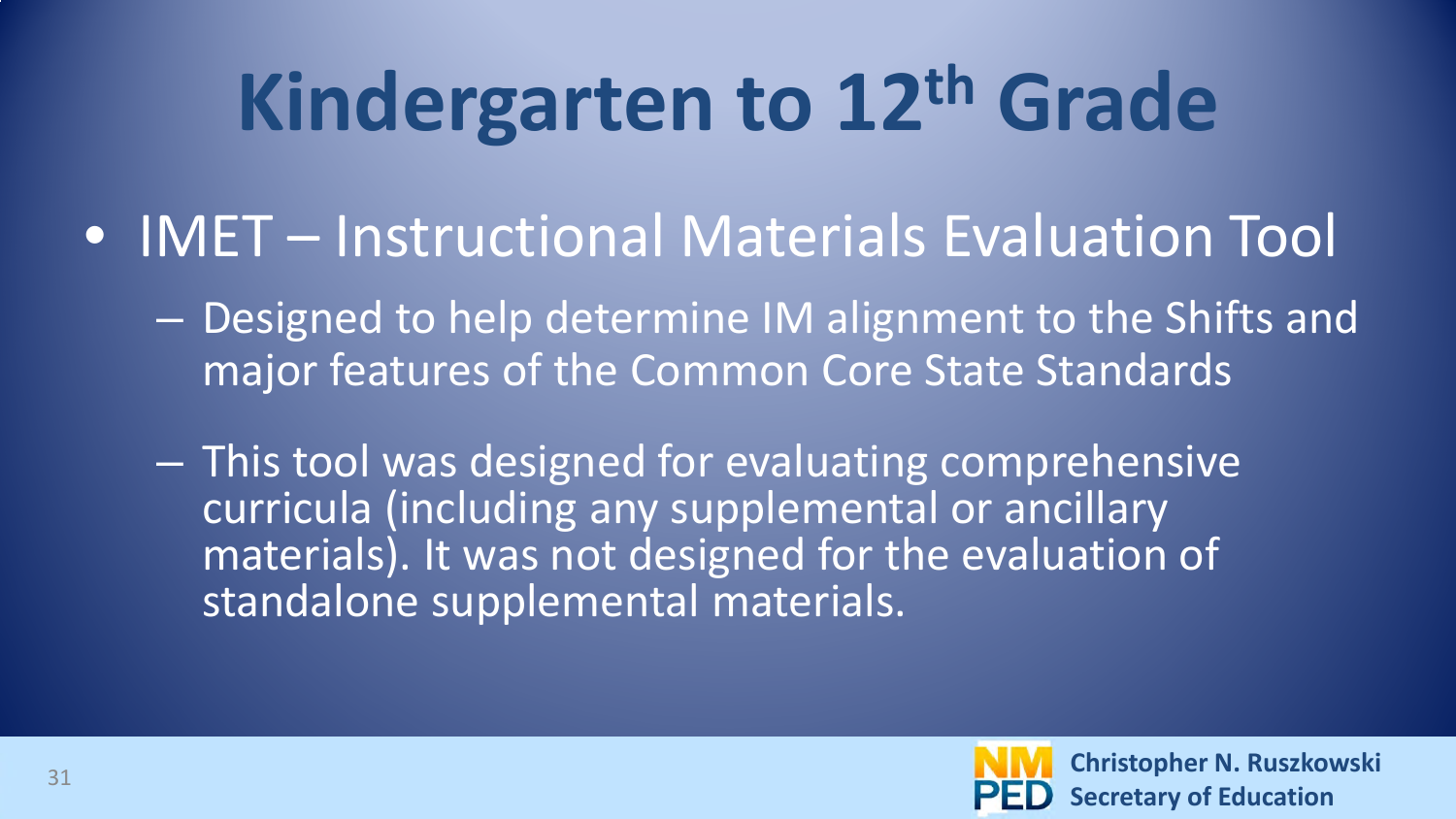## **Kindergarten to 12th Grade**

- IMET Instructional Materials Evaluation Tool
	- Designed to help determine IM alignment to the Shifts and major features of the Common Core State Standards
	- This tool was designed for evaluating comprehensive curricula (including any supplemental or ancillary materials). It was not designed for the evaluation of standalone supplemental materials.

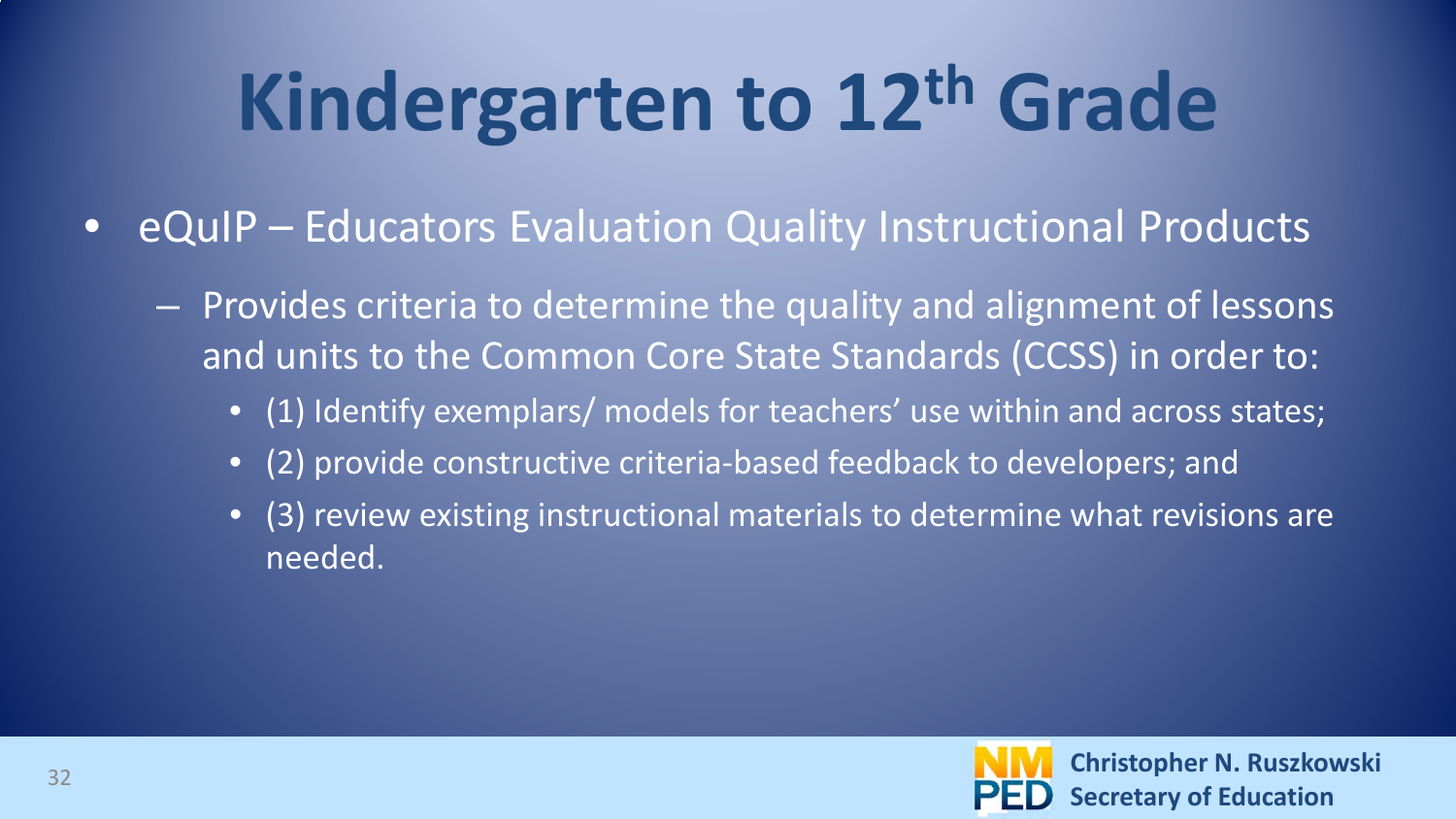## **Kindergarten to 12th Grade**

- eQuIP Educators Evaluation Quality Instructional Products
	- Provides criteria to determine the quality and alignment of lessons and units to the Common Core State Standards (CCSS) in order to:
		- (1) Identify exemplars/ models for teachers' use within and across states;
		- (2) provide constructive criteria-based feedback to developers; and
		- (3) review existing instructional materials to determine what revisions are needed.

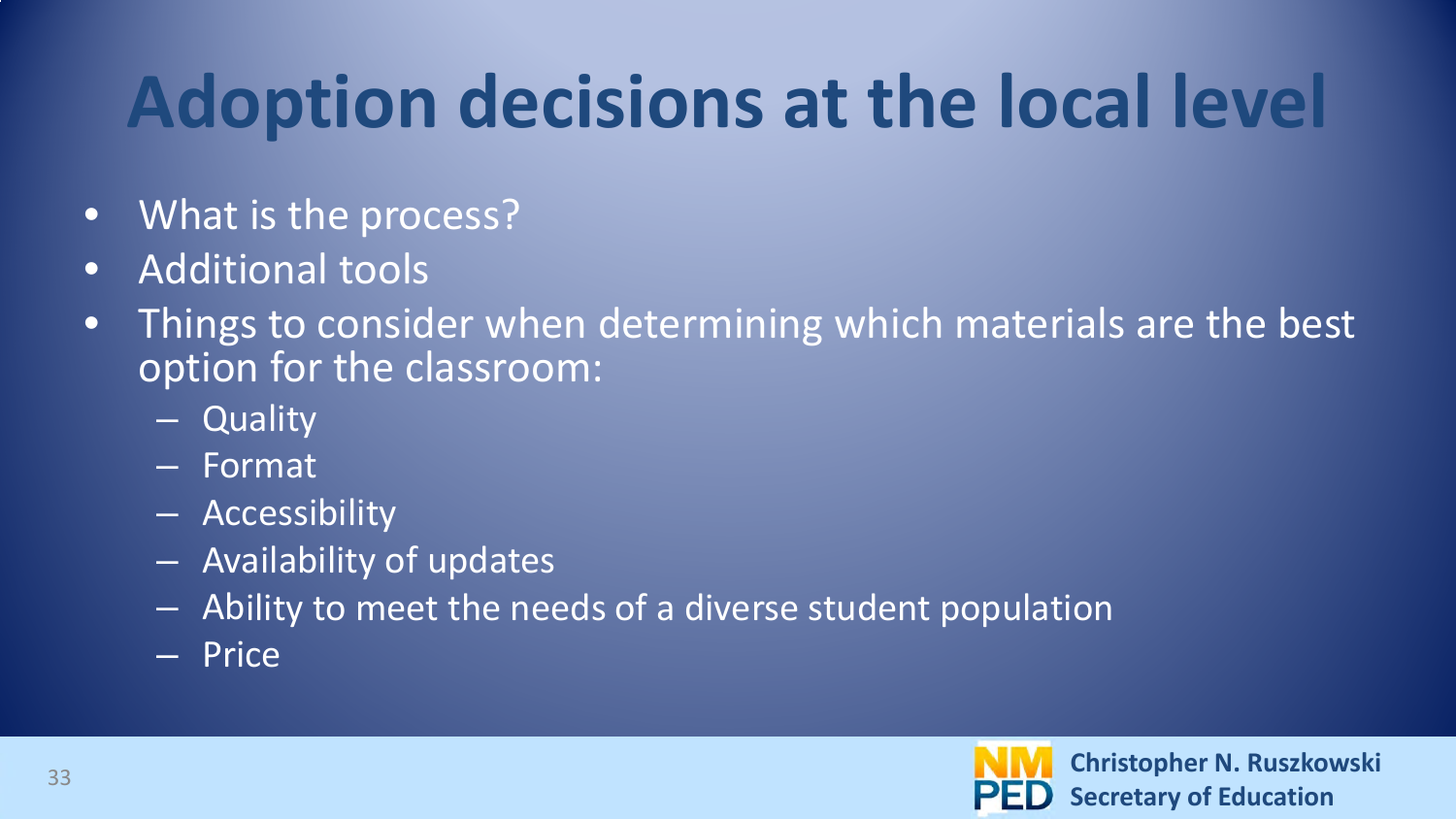#### **Adoption decisions at the local level**

- What is the process?
- Additional tools
- Things to consider when determining which materials are the best option for the classroom:
	- Quality
	- Format
	- Accessibility
	- Availability of updates
	- Ability to meet the needs of a diverse student population
	- Price

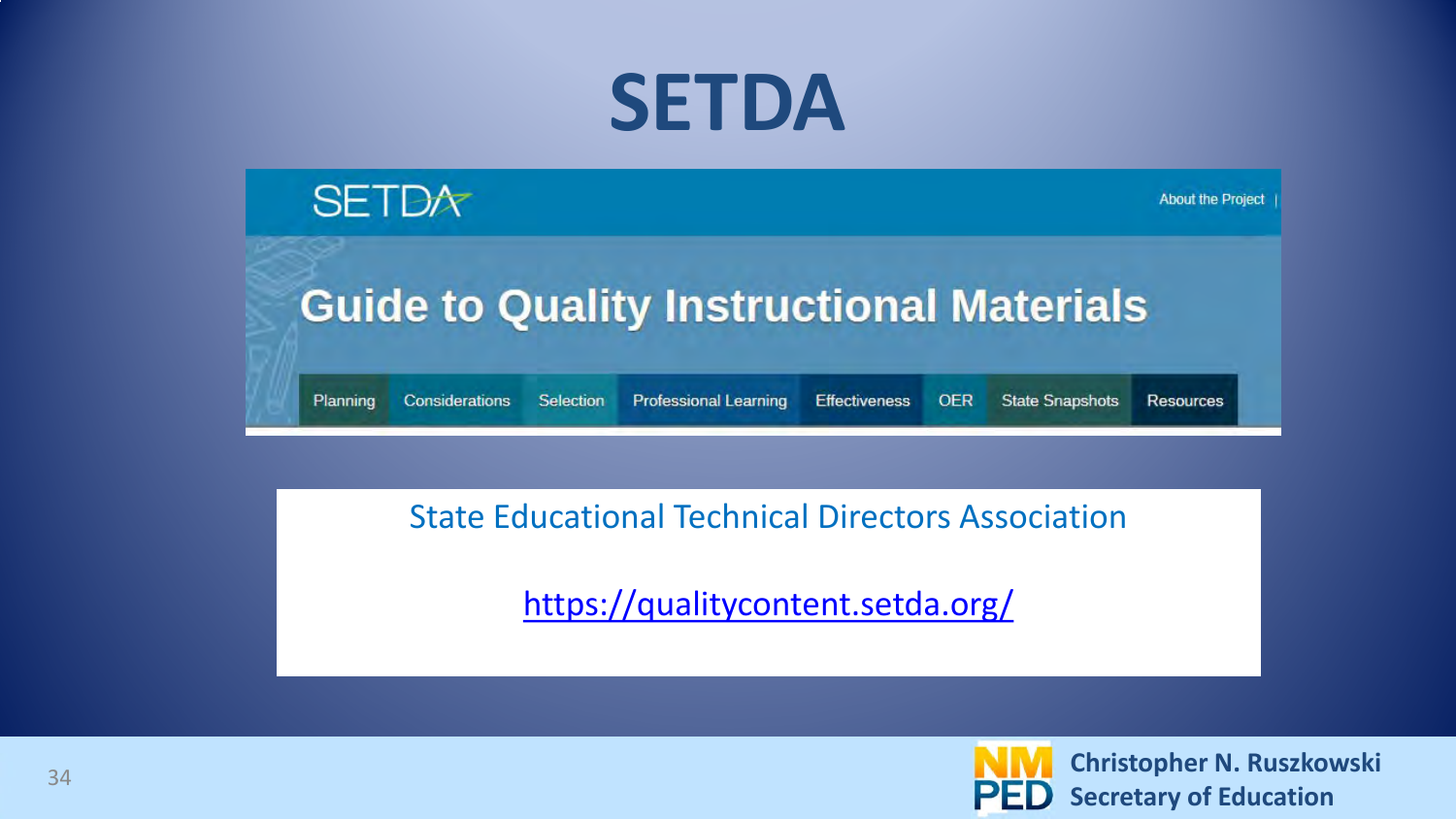#### **SETDA**



About the Project

#### **Guide to Quality Instructional Materials**

Planning Considerations Selection

**Professional Learning Effectiveness**  **State Snapshots Resources** 

#### State Educational Technical Directors Association

<https://qualitycontent.setda.org/>



**OER**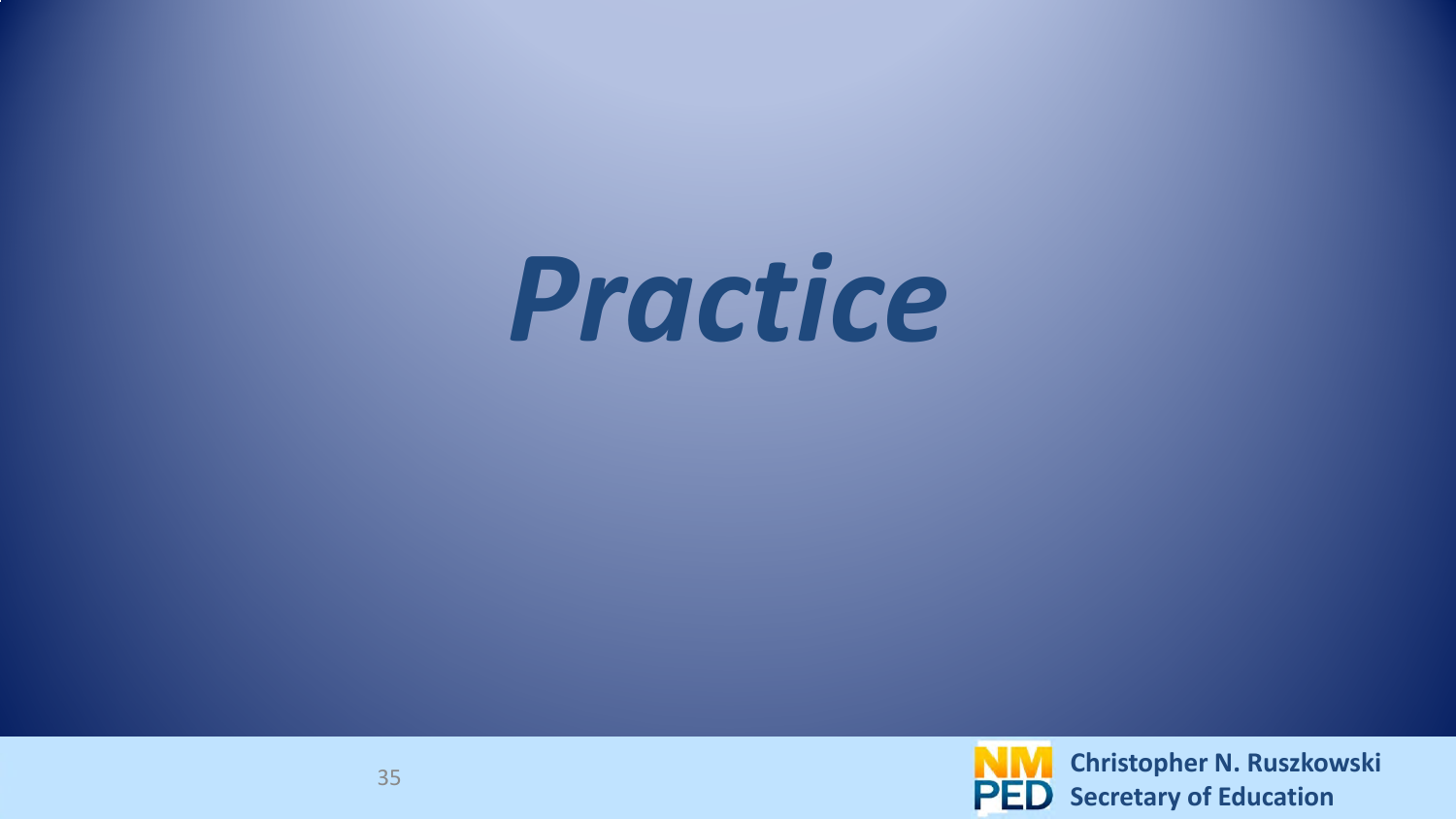# *Practice*

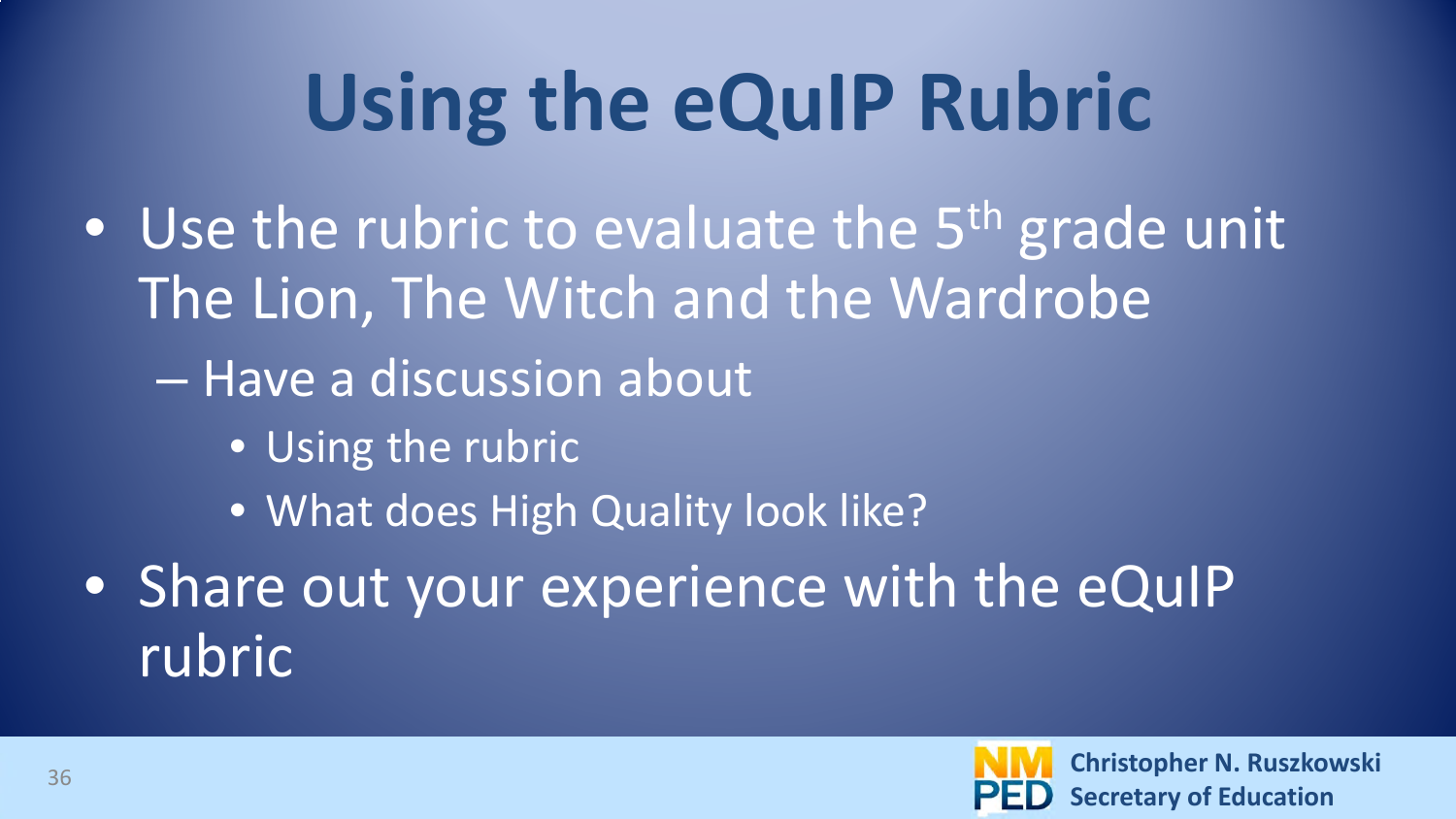## **Using the eQuIP Rubric**

- Use the rubric to evaluate the  $5<sup>th</sup>$  grade unit The Lion, The Witch and the Wardrobe
	- Have a discussion about
		- Using the rubric
		- What does High Quality look like?
- Share out your experience with the eQuIP rubric

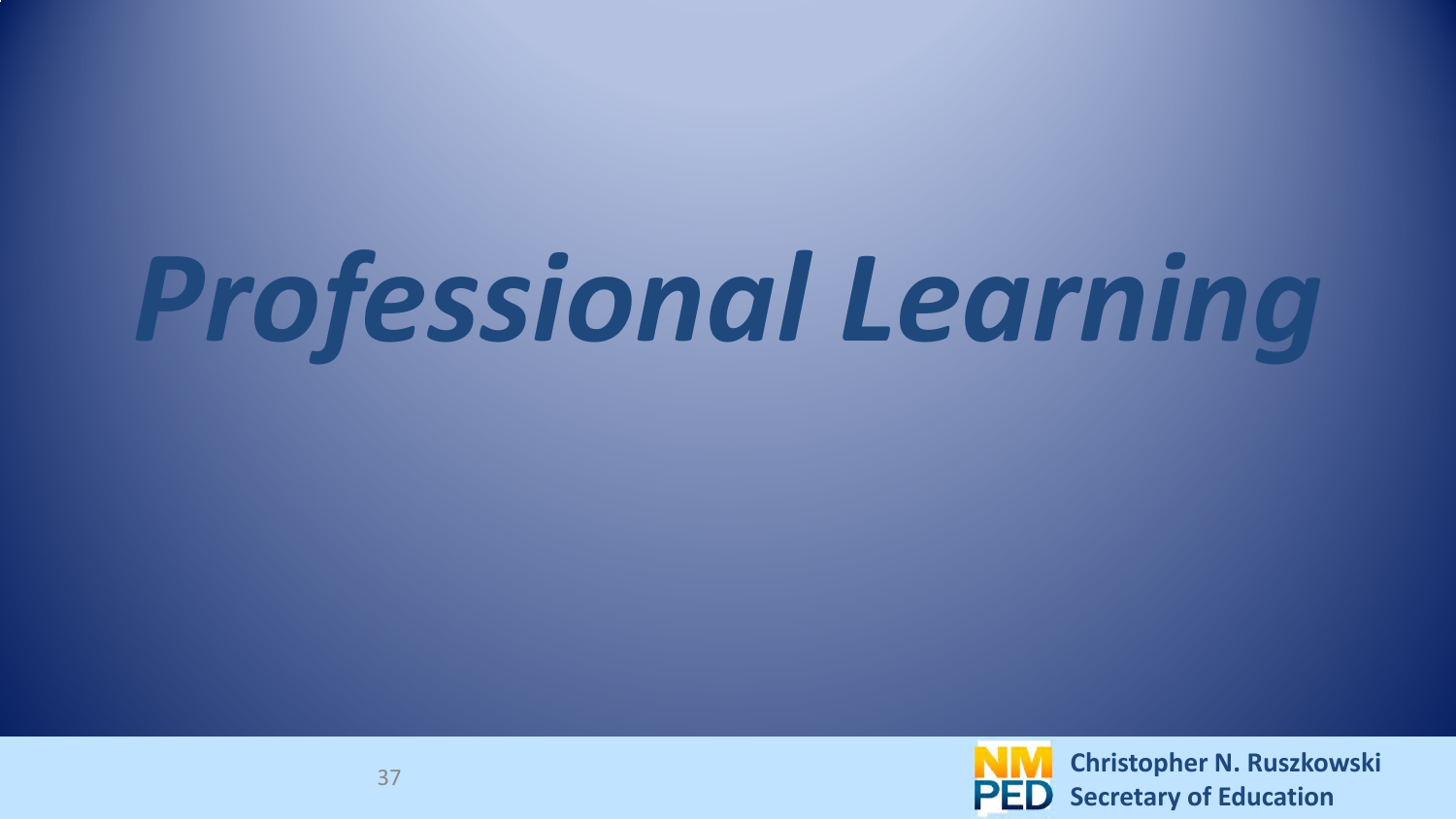# *Professional Learning*

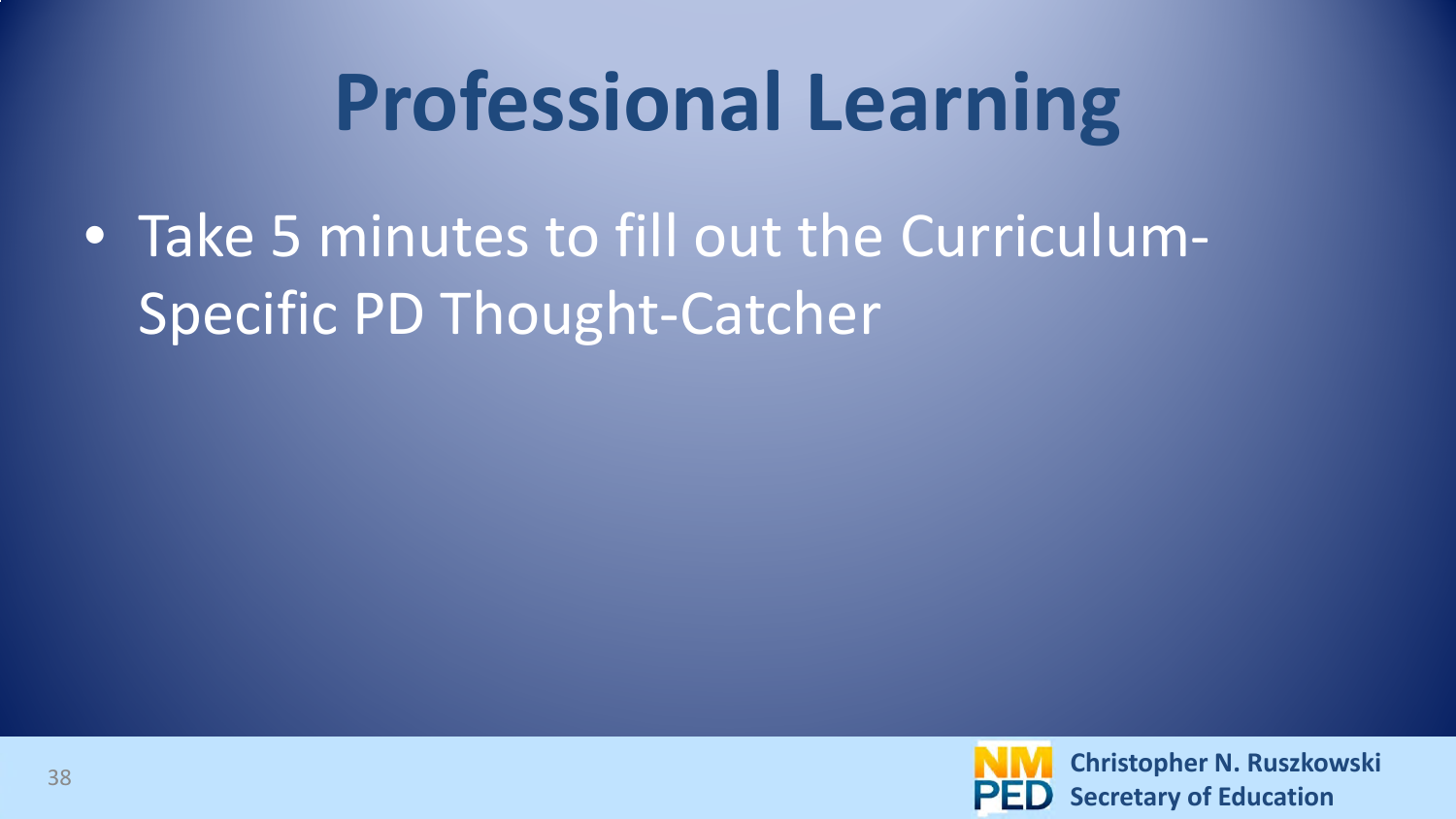## **Professional Learning**

• Take 5 minutes to fill out the Curriculum-Specific PD Thought-Catcher

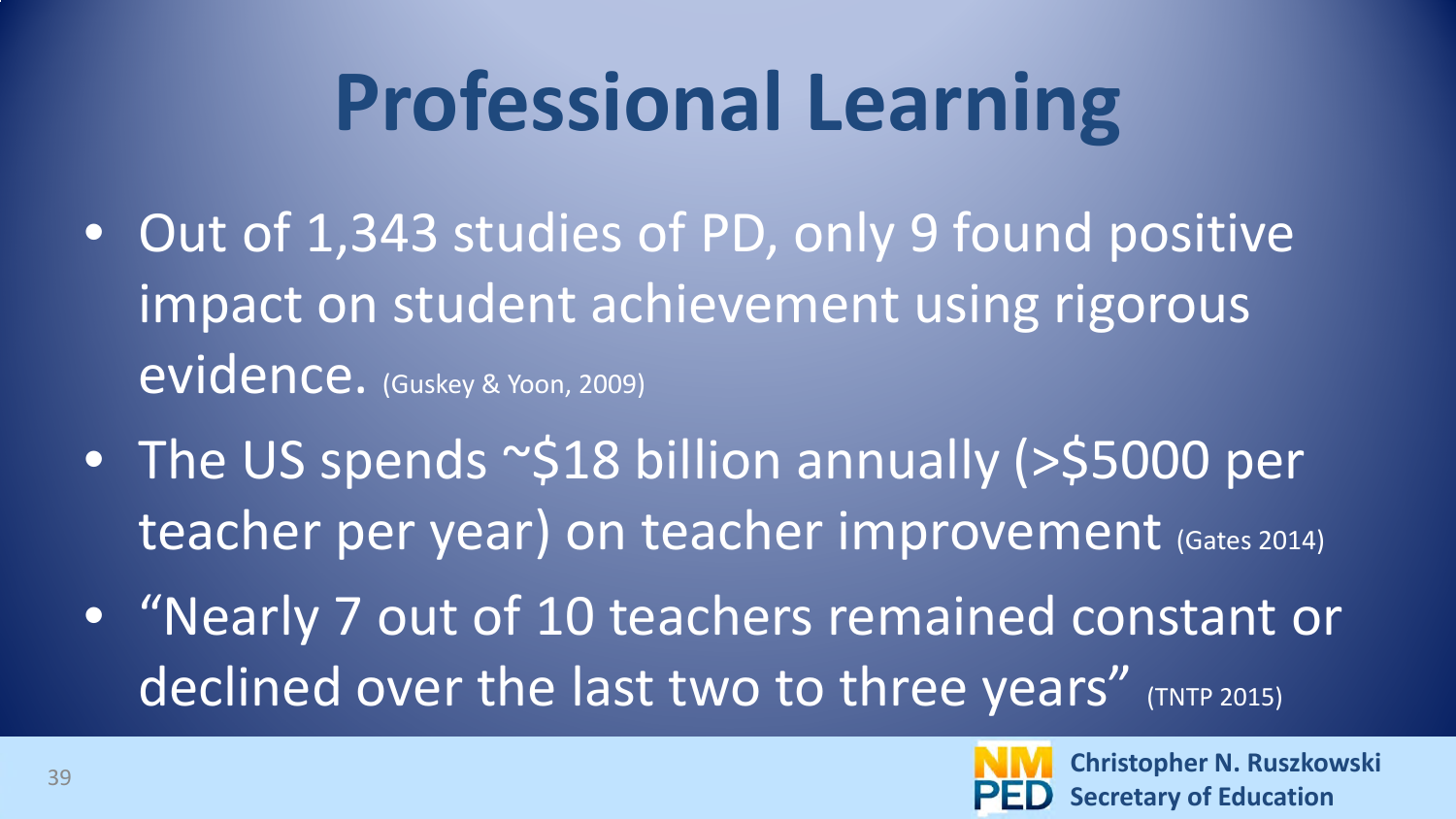## **Professional Learning**

- Out of 1,343 studies of PD, only 9 found positive impact on student achievement using rigorous evidence. (Guskey & Yoon, 2009)
- The US spends ~\$18 billion annually (>\$5000 per teacher per year) on teacher improvement (Gates 2014)
- "Nearly 7 out of 10 teachers remained constant or declined over the last two to three years" (TNTP 2015)

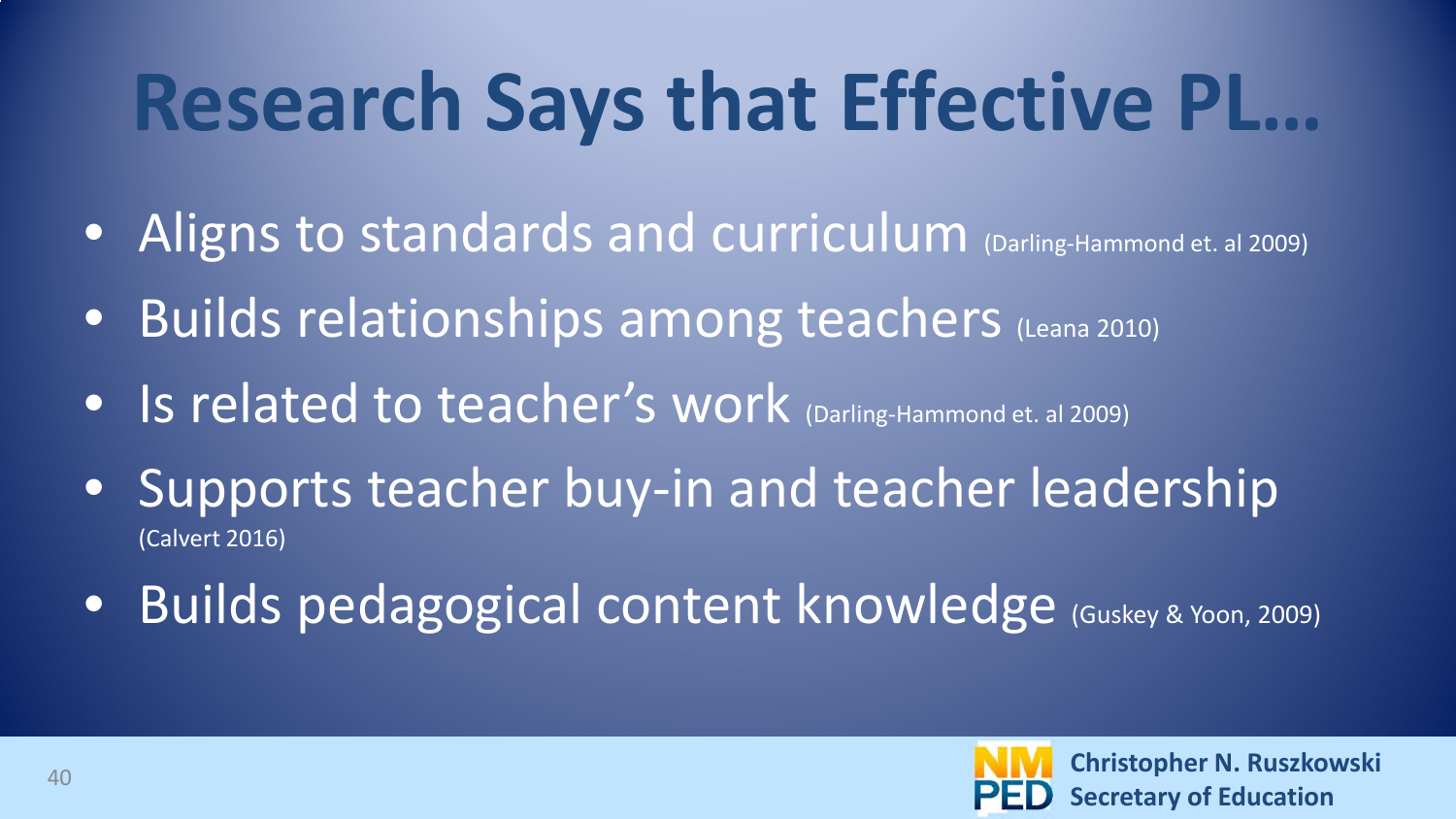## **Research Says that Effective PL…**

- Aligns to standards and curriculum (Darling-Hammond et. al 2009)
- Builds relationships among teachers (Leana 2010)
- Is related to teacher's work (Darling-Hammond et. al 2009)
- Supports teacher buy-in and teacher leadership (Calvert 2016)
- Builds pedagogical content knowledge (Guskey & Yoon, 2009)

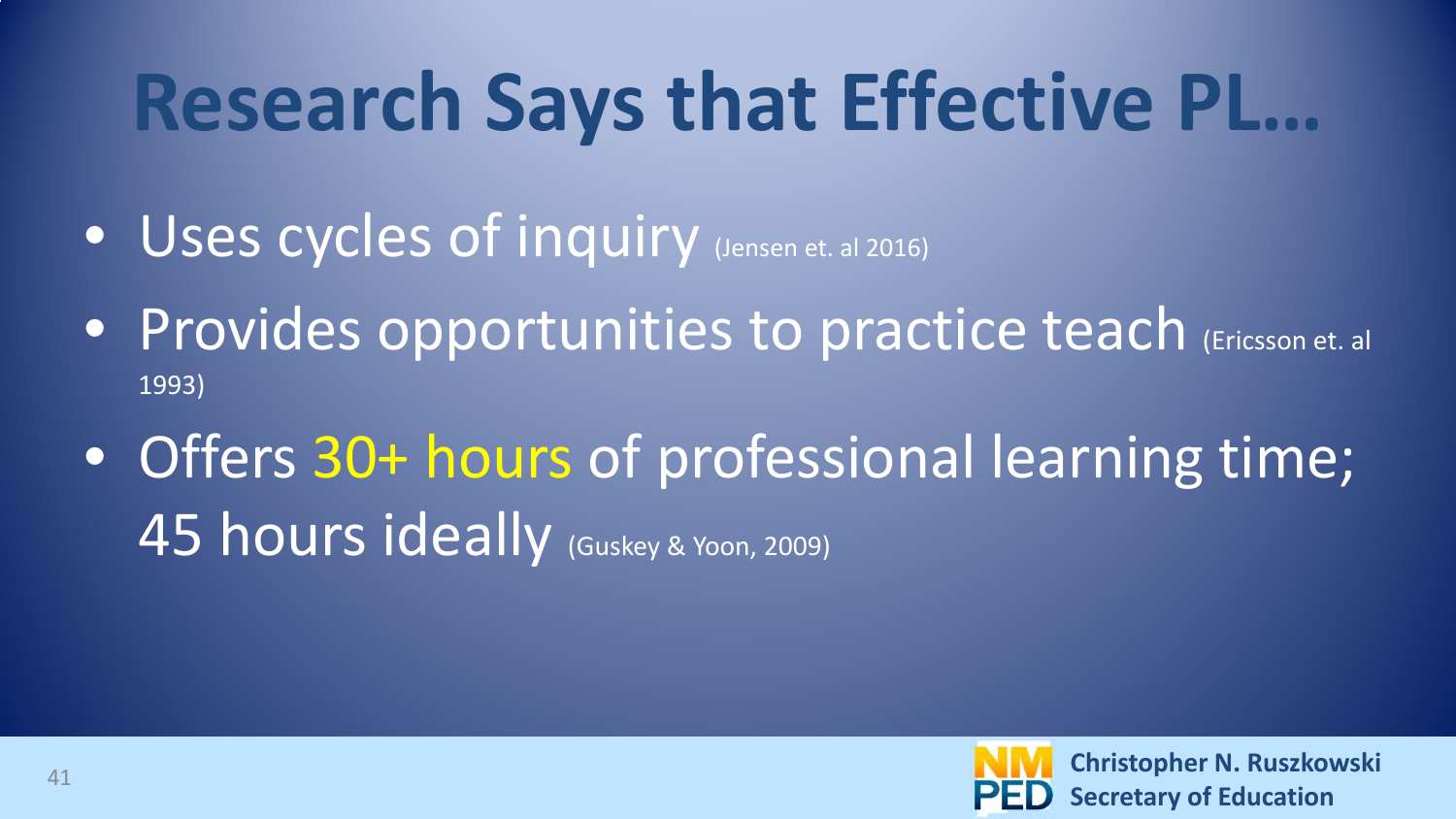## **Research Says that Effective PL…**

- Uses cycles of inquiry (Jensen et. al 2016)
- Provides opportunities to practice teach (Ericsson et. al 1993)
- Offers 30+ hours of professional learning time; 45 hours ideally Guskey & Yoon, 2009)

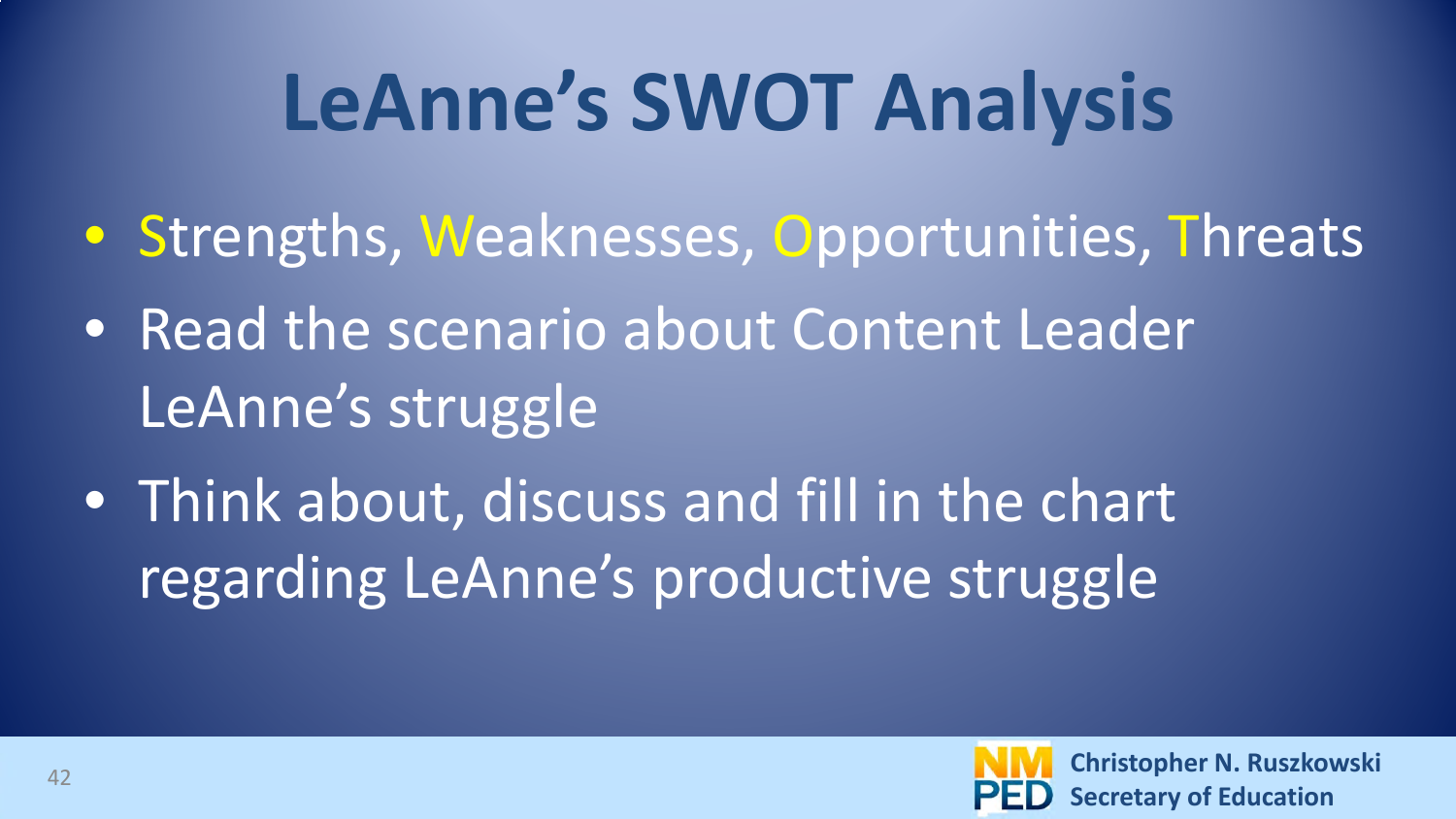## **LeAnne's SWOT Analysis**

- Strengths, Weaknesses, Opportunities, Threats
- Read the scenario about Content Leader LeAnne's struggle
- Think about, discuss and fill in the chart regarding LeAnne's productive struggle

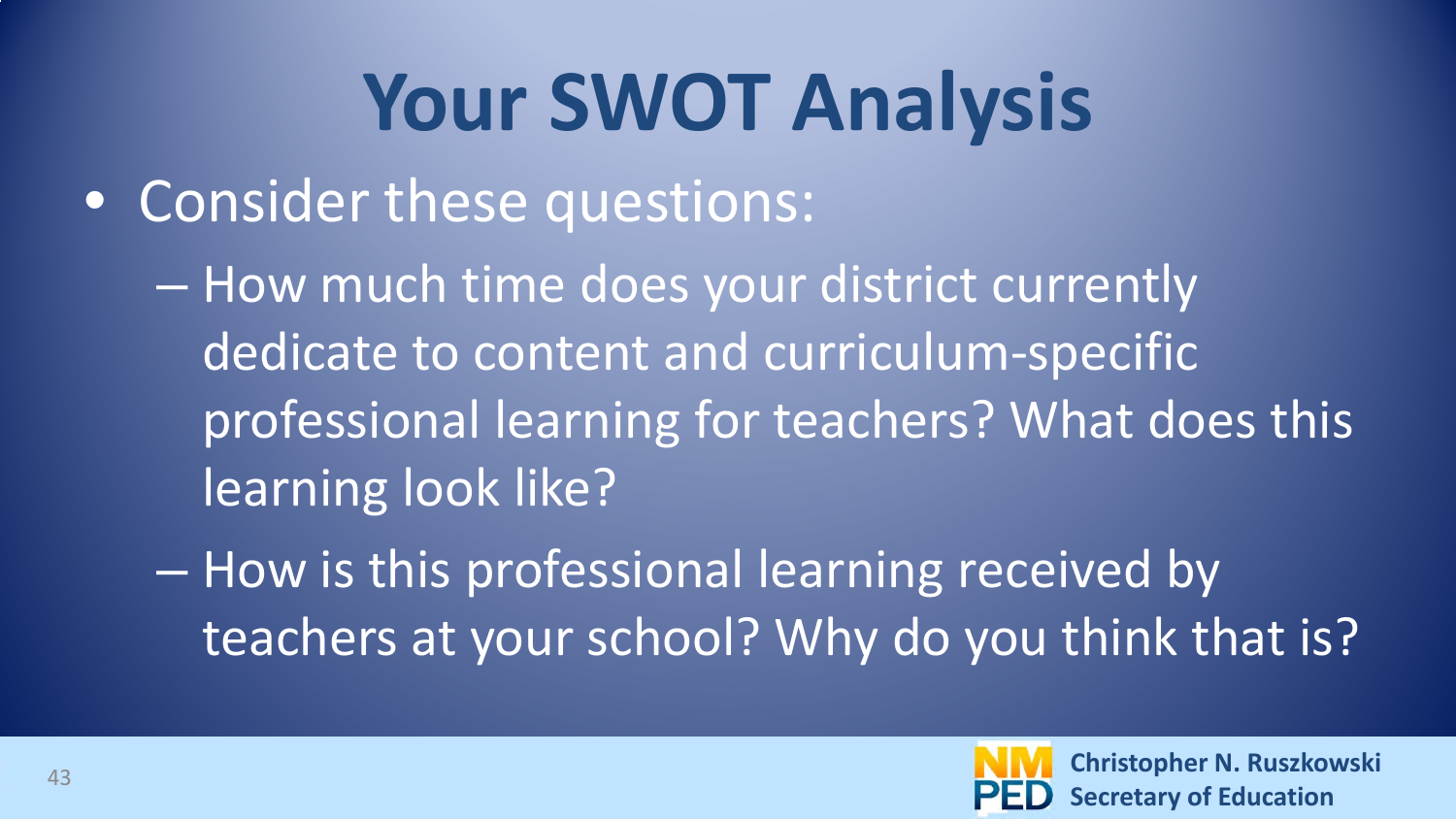## **Your SWOT Analysis**

• Consider these questions:

– How much time does your district currently dedicate to content and curriculum-specific professional learning for teachers? What does this learning look like?

– How is this professional learning received by teachers at your school? Why do you think that is?

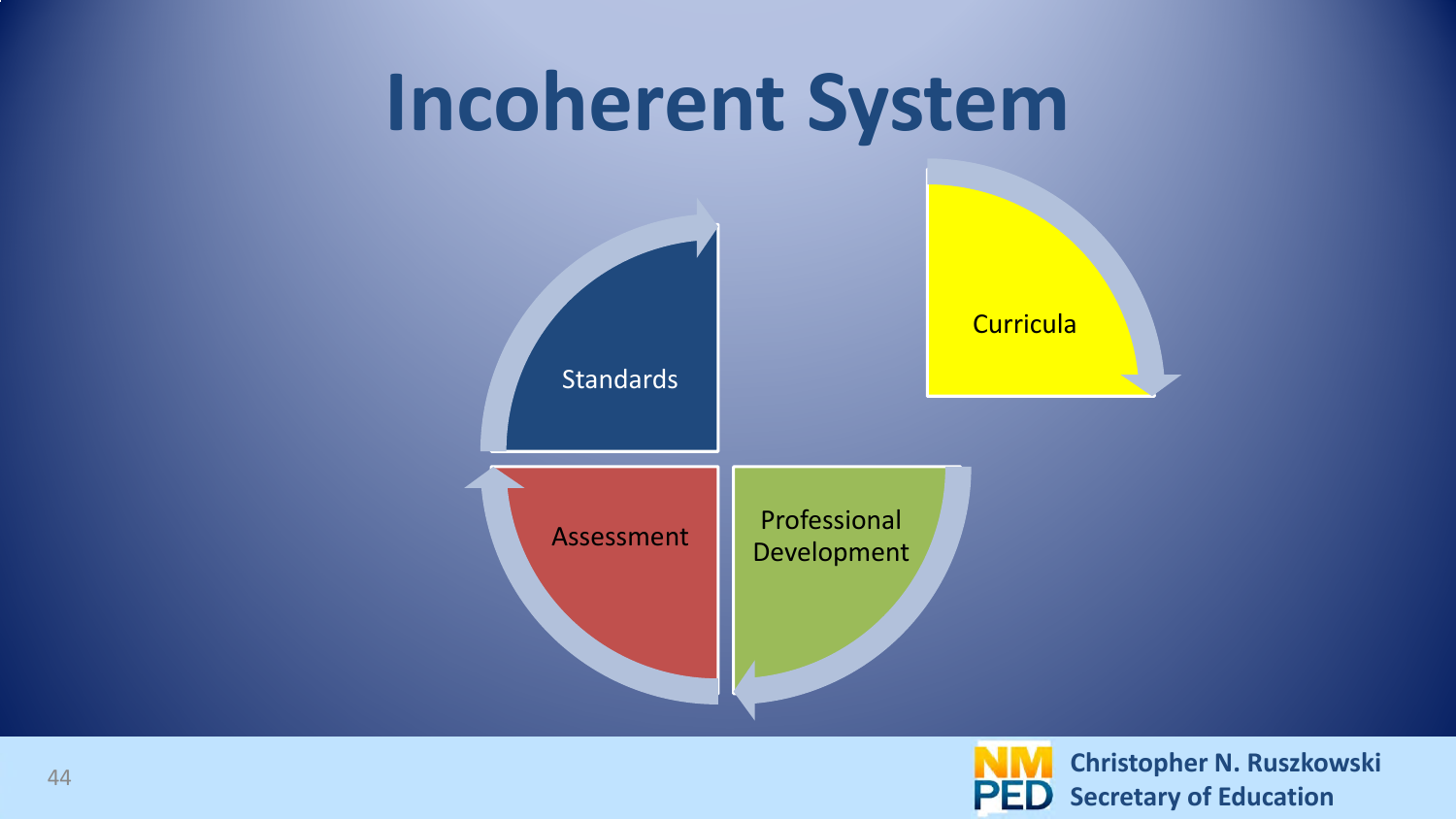

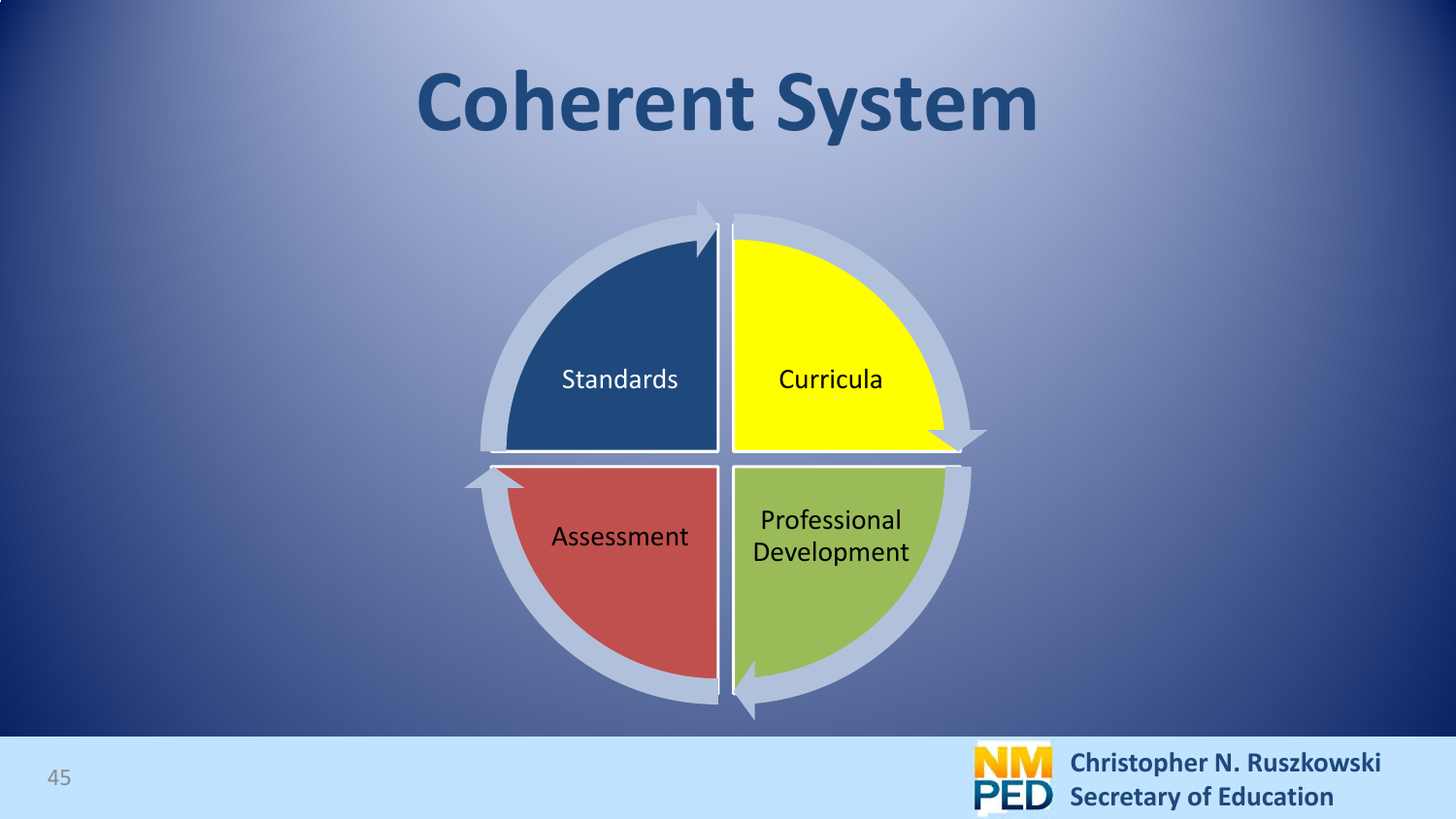#### **Coherent System**



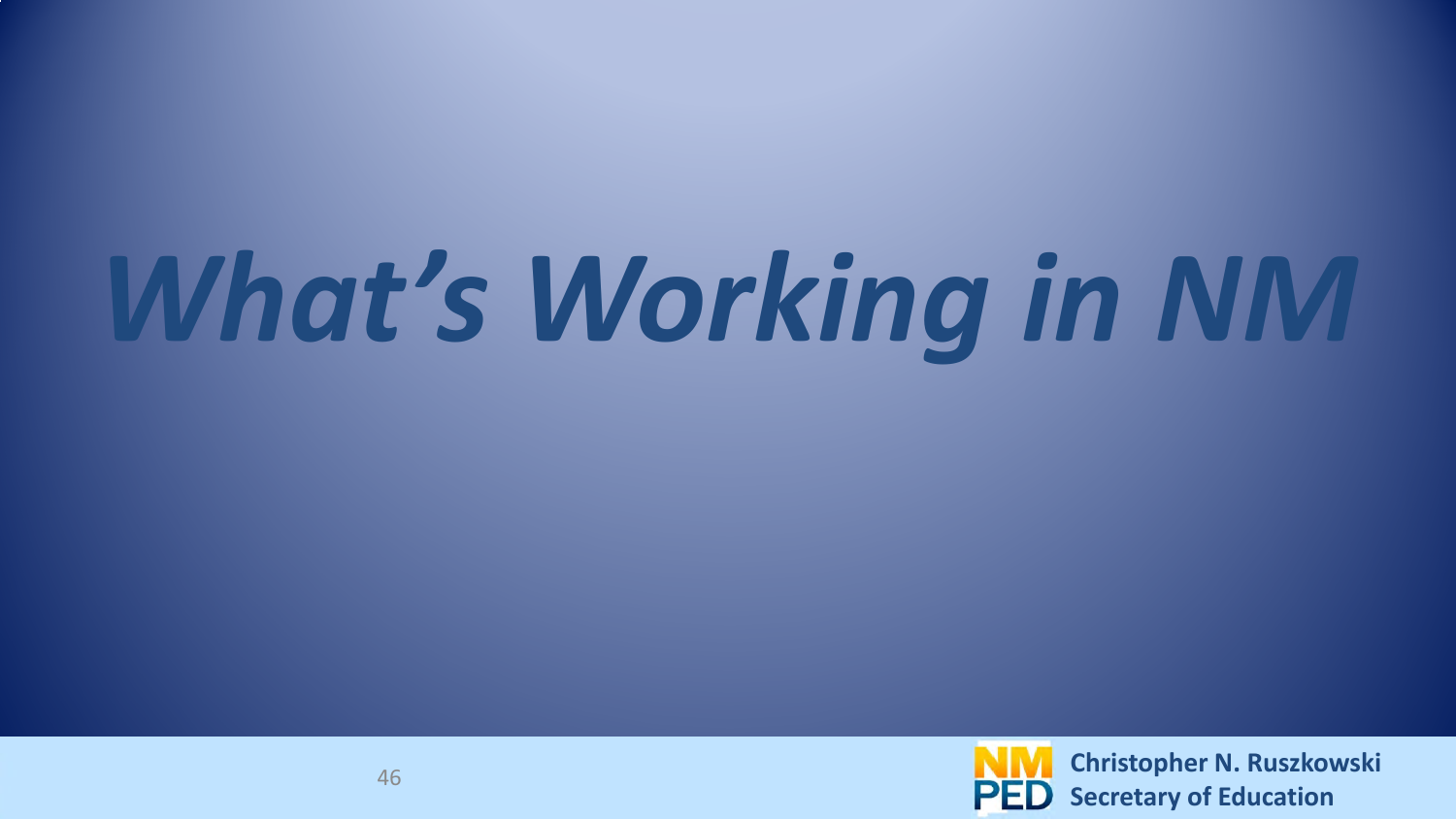# *What's Working in NM*

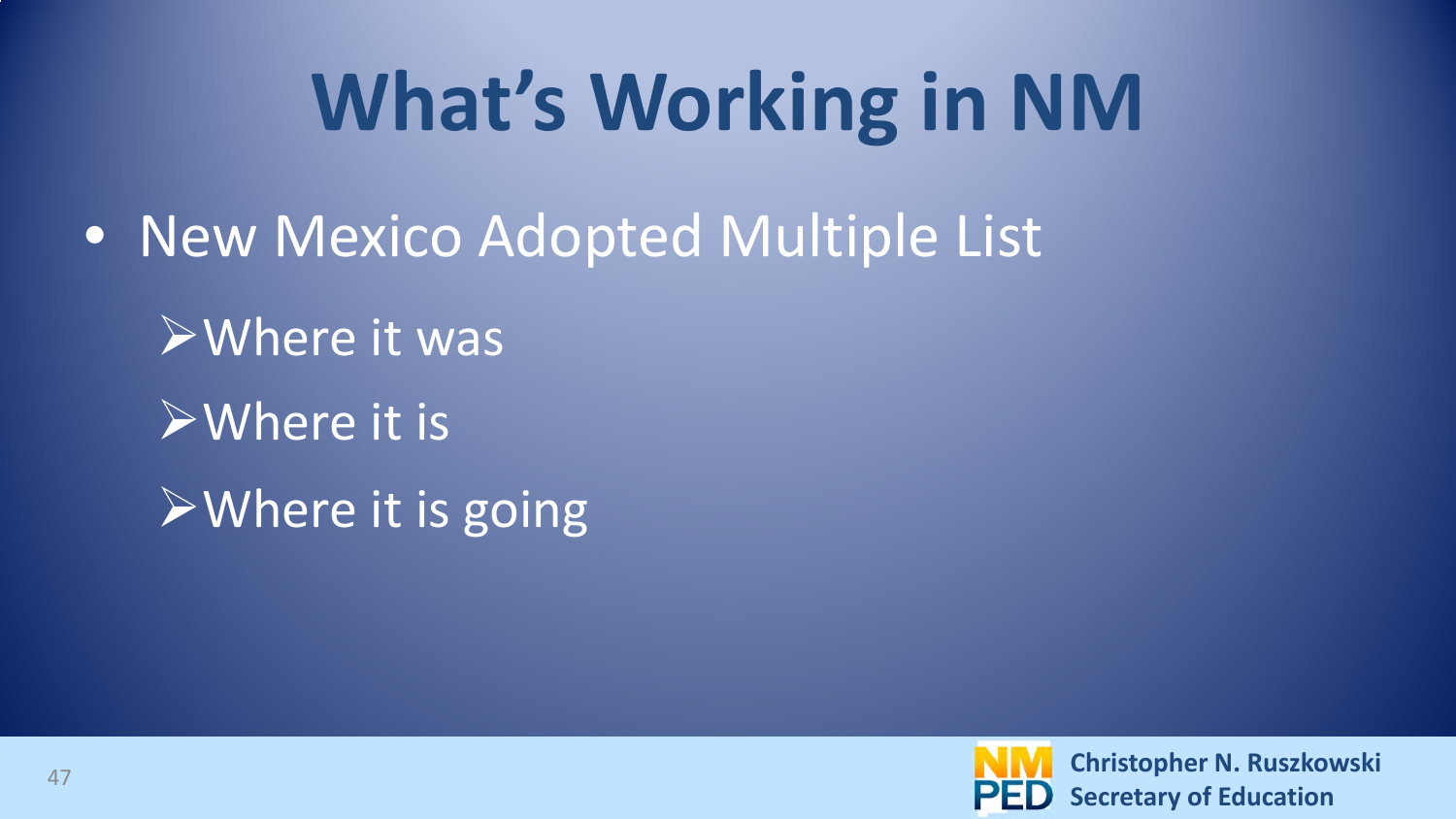## **What's Working in NM**

- New Mexico Adopted Multiple List
	- Where it was
	- **EWhere it is.**
	- $\triangleright$  Where it is going

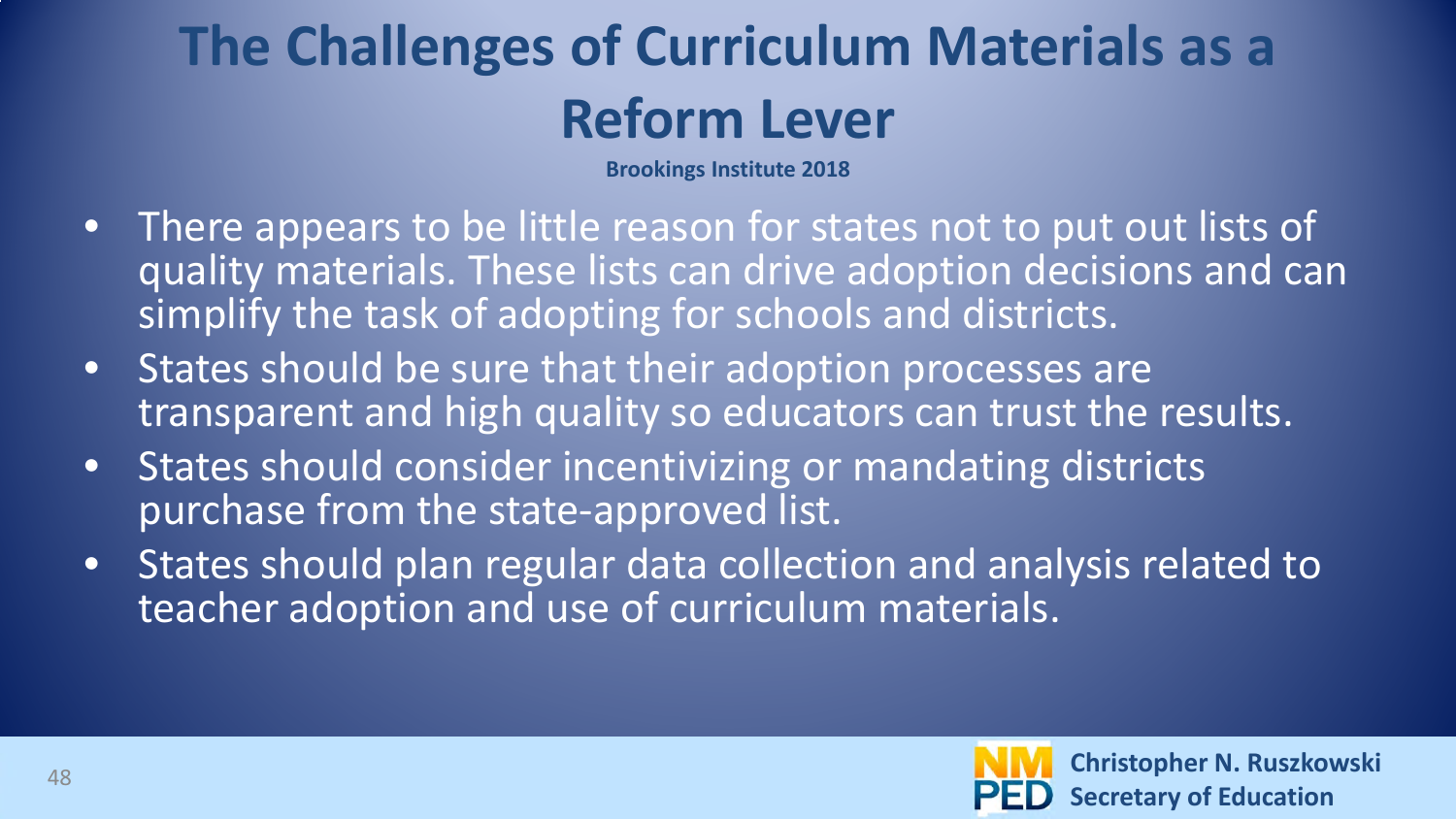#### **The Challenges of Curriculum Materials as a Reform Lever**

**Brookings Institute 2018**

- There appears to be little reason for states not to put out lists of quality materials. These lists can drive adoption decisions and can simplify the task of adopting for schools and districts.
- States should be sure that their adoption processes are transparent and high quality so educators can trust the results.
- States should consider incentivizing or mandating districts purchase from the state-approved list.
- States should plan regular data collection and analysis related to teacher adoption and use of curriculum materials.

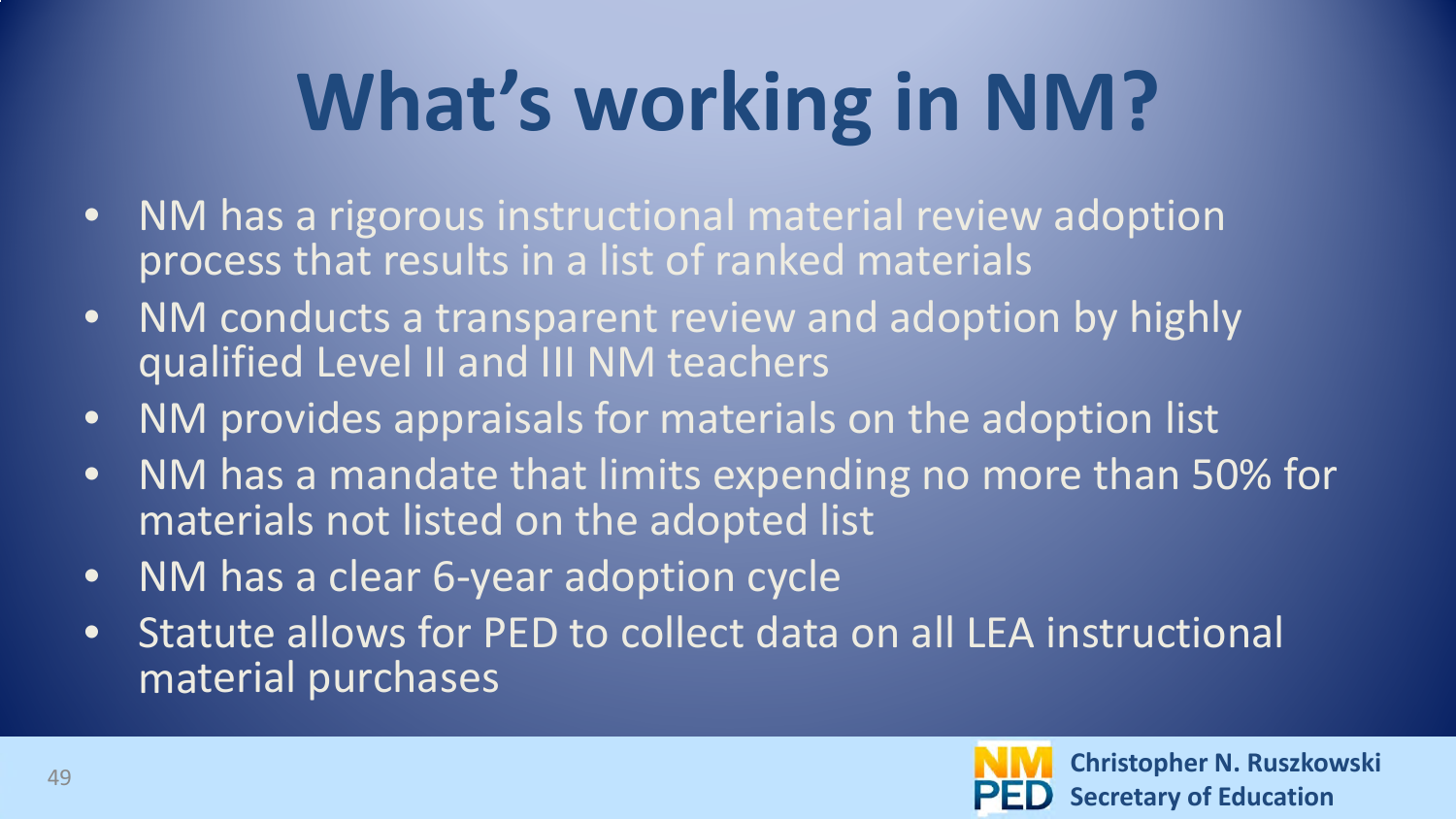## **What's working in NM?**

- NM has a rigorous instructional material review adoption process that results in a list of ranked materials
- NM conducts a transparent review and adoption by highly qualified Level II and III NM teachers
- NM provides appraisals for materials on the adoption list
- NM has a mandate that limits expending no more than 50% for materials not listed on the adopted list
- NM has a clear 6-year adoption cycle
- Statute allows for PED to collect data on all LEA instructional material purchases